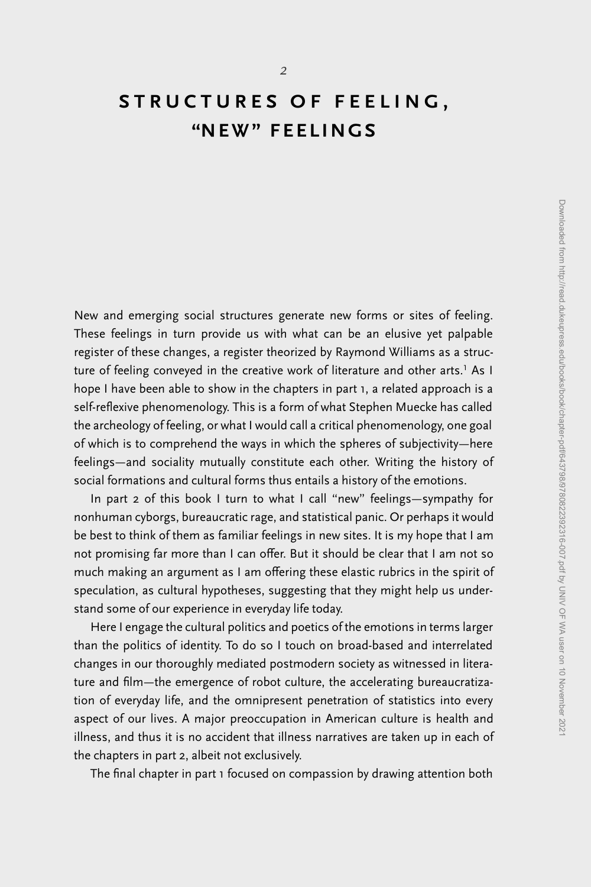*2*

New and emerging social structures generate new forms or sites of feeling. These feelings in turn provide us with what can be an elusive yet palpable register of these changes, a register theorized by Raymond Williams as a structure of feeling conveyed in the creative work of literature and other arts.<sup>1</sup> As I hope I have been able to show in the chapters in part 1, a related approach is a self-reflexive phenomenology. This is a form of what Stephen Muecke has called the archeology of feeling, or what I would call a critical phenomenology, one goal of which is to comprehend the ways in which the spheres of subjectivity—here feelings—and sociality mutually constitute each other. Writing the history of social formations and cultural forms thus entails a history of the emotions.

In part 2 of this book I turn to what I call ''new'' feelings—sympathy for nonhuman cyborgs, bureaucratic rage, and statistical panic. Or perhaps it would be best to think of them as familiar feelings in new sites. It is my hope that I am not promising far more than I can offer. But it should be clear that I am not so much making an argument as I am offering these elastic rubrics in the spirit of speculation, as cultural hypotheses, suggesting that they might help us understand some of our experience in everyday life today.

Here I engage the cultural politics and poetics of the emotions in terms larger than the politics of identity. To do so I touch on broad-based and interrelated changes in our thoroughly mediated postmodern society as witnessed in literature and film—the emergence of robot culture, the accelerating bureaucratization of everyday life, and the omnipresent penetration of statistics into every aspect of our lives. A major preoccupation in American culture is health and illness, and thus it is no accident that illness narratives are taken up in each of the chapters in part 2, albeit not exclusively.

The final chapter in part 1 focused on compassion by drawing attention both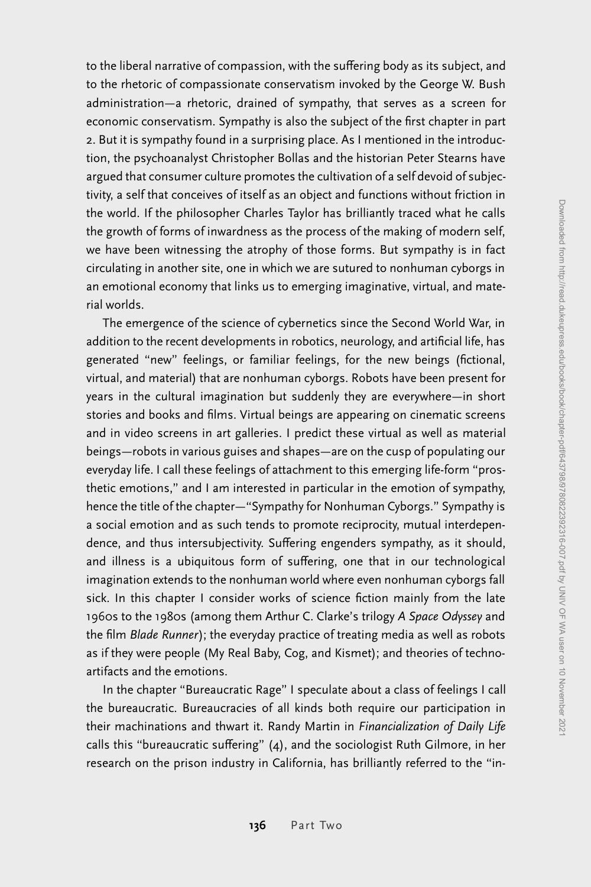to the liberal narrative of compassion, with the suffering body as its subject, and to the rhetoric of compassionate conservatism invoked by the George W. Bush administration—a rhetoric, drained of sympathy, that serves as a screen for economic conservatism. Sympathy is also the subject of the first chapter in part 2. But it is sympathy found in a surprising place. As I mentioned in the introduction, the psychoanalyst Christopher Bollas and the historian Peter Stearns have argued that consumer culture promotes the cultivation of a self devoid of subjectivity, a self that conceives of itself as an object and functions without friction in the world. If the philosopher Charles Taylor has brilliantly traced what he calls the growth of forms of inwardness as the process of the making of modern self, we have been witnessing the atrophy of those forms. But sympathy is in fact circulating in another site, one in which we are sutured to nonhuman cyborgs in an emotional economy that links us to emerging imaginative, virtual, and material worlds.

The emergence of the science of cybernetics since the Second World War, in addition to the recent developments in robotics, neurology, and artificial life, has generated ''new'' feelings, or familiar feelings, for the new beings (fictional, virtual, and material) that are nonhuman cyborgs. Robots have been present for years in the cultural imagination but suddenly they are everywhere—in short stories and books and films. Virtual beings are appearing on cinematic screens and in video screens in art galleries. I predict these virtual as well as material beings—robots in various guises and shapes—are on the cusp of populating our everyday life. I call these feelings of attachment to this emerging life-form ''prosthetic emotions,'' and I am interested in particular in the emotion of sympathy, hence the title of the chapter—''Sympathy for Nonhuman Cyborgs.'' Sympathy is a social emotion and as such tends to promote reciprocity, mutual interdependence, and thus intersubjectivity. Suffering engenders sympathy, as it should, and illness is a ubiquitous form of suffering, one that in our technological imagination extends to the nonhuman world where even nonhuman cyborgs fall sick. In this chapter I consider works of science fiction mainly from the late 1960s to the 1980s (among them Arthur C. Clarke's trilogy *A Space Odyssey* and the film *Blade Runner*); the everyday practice of treating media as well as robots as if they were people (My Real Baby, Cog, and Kismet); and theories of technoartifacts and the emotions.

In the chapter ''Bureaucratic Rage'' I speculate about a class of feelings I call the bureaucratic. Bureaucracies of all kinds both require our participation in their machinations and thwart it. Randy Martin in *Financialization of Daily Life* calls this "bureaucratic suffering" (4), and the sociologist Ruth Gilmore, in her research on the prison industry in California, has brilliantly referred to the ''in-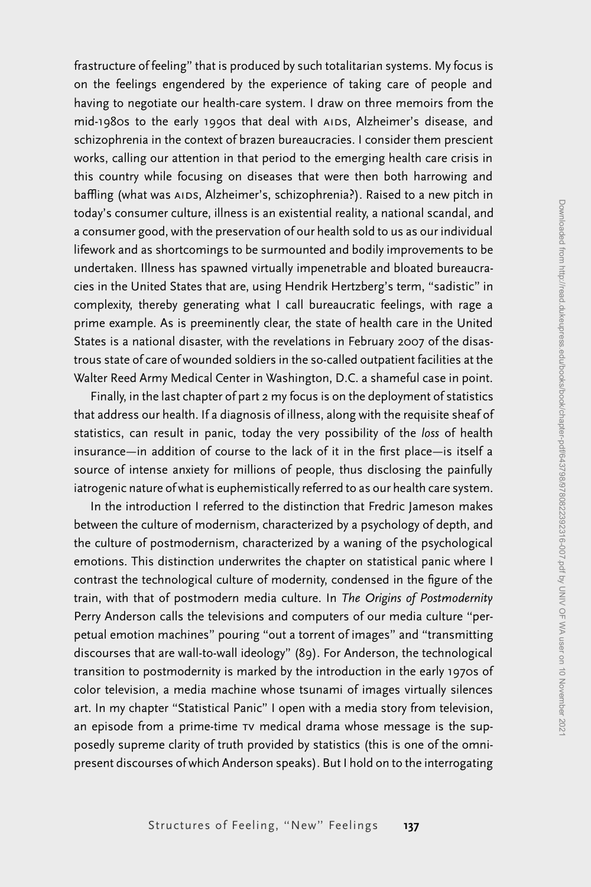frastructure of feeling'' that is produced by such totalitarian systems. My focus is on the feelings engendered by the experience of taking care of people and having to negotiate our health-care system. I draw on three memoirs from the mid-1980s to the early 1990s that deal with AIDS, Alzheimer's disease, and schizophrenia in the context of brazen bureaucracies. I consider them prescient works, calling our attention in that period to the emerging health care crisis in this country while focusing on diseases that were then both harrowing and baffling (what was AIDS, Alzheimer's, schizophrenia?). Raised to a new pitch in today's consumer culture, illness is an existential reality, a national scandal, and a consumer good, with the preservation of our health sold to us as our individual lifework and as shortcomings to be surmounted and bodily improvements to be undertaken. Illness has spawned virtually impenetrable and bloated bureaucracies in the United States that are, using Hendrik Hertzberg's term, ''sadistic'' in complexity, thereby generating what I call bureaucratic feelings, with rage a prime example. As is preeminently clear, the state of health care in the United States is a national disaster, with the revelations in February 2007 of the disastrous state of care of wounded soldiers in the so-called outpatient facilities at the Walter Reed Army Medical Center in Washington, D.C. a shameful case in point.

Finally, in the last chapter of part 2 my focus is on the deployment of statistics that address our health. If a diagnosis of illness, along with the requisite sheaf of statistics, can result in panic, today the very possibility of the *loss* of health insurance—in addition of course to the lack of it in the first place—is itself a source of intense anxiety for millions of people, thus disclosing the painfully iatrogenic nature of what is euphemistically referred to as our health care system.

In the introduction I referred to the distinction that Fredric Jameson makes between the culture of modernism, characterized by a psychology of depth, and the culture of postmodernism, characterized by a waning of the psychological emotions. This distinction underwrites the chapter on statistical panic where I contrast the technological culture of modernity, condensed in the figure of the train, with that of postmodern media culture. In *The Origins of Postmodernity* Perry Anderson calls the televisions and computers of our media culture ''perpetual emotion machines'' pouring ''out a torrent of images'' and ''transmitting discourses that are wall-to-wall ideology'' (89). For Anderson, the technological transition to postmodernity is marked by the introduction in the early 1970s of color television, a media machine whose tsunami of images virtually silences art. In my chapter ''Statistical Panic'' I open with a media story from television, an episode from a prime-time tv medical drama whose message is the supposedly supreme clarity of truth provided by statistics (this is one of the omnipresent discourses of which Anderson speaks). But I hold on to the interrogating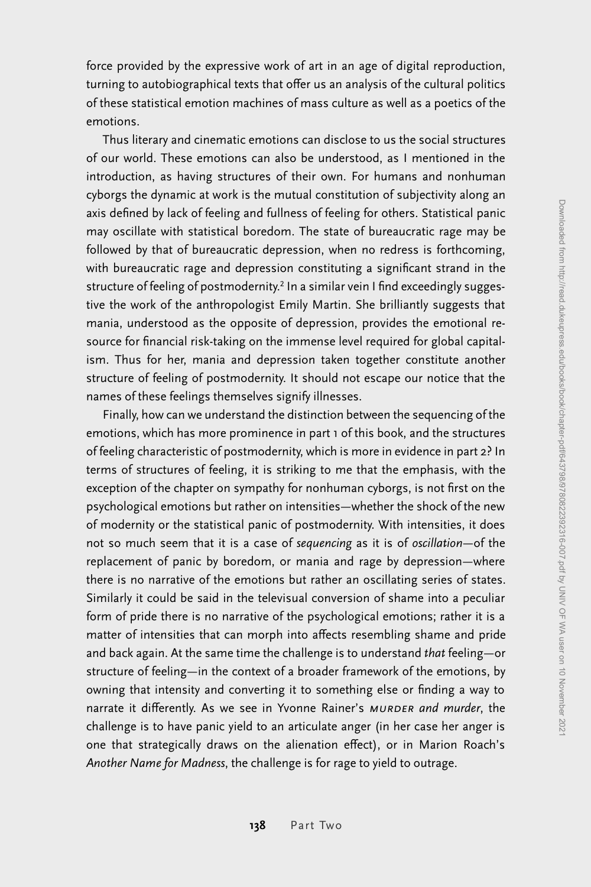force provided by the expressive work of art in an age of digital reproduction, turning to autobiographical texts that offer us an analysis of the cultural politics of these statistical emotion machines of mass culture as well as a poetics of the emotions.

Thus literary and cinematic emotions can disclose to us the social structures of our world. These emotions can also be understood, as I mentioned in the introduction, as having structures of their own. For humans and nonhuman cyborgs the dynamic at work is the mutual constitution of subjectivity along an axis defined by lack of feeling and fullness of feeling for others. Statistical panic may oscillate with statistical boredom. The state of bureaucratic rage may be followed by that of bureaucratic depression, when no redress is forthcoming, with bureaucratic rage and depression constituting a significant strand in the structure of feeling of postmodernity.<sup>2</sup> In a similar vein I find exceedingly suggestive the work of the anthropologist Emily Martin. She brilliantly suggests that mania, understood as the opposite of depression, provides the emotional resource for financial risk-taking on the immense level required for global capitalism. Thus for her, mania and depression taken together constitute another structure of feeling of postmodernity. It should not escape our notice that the names of these feelings themselves signify illnesses.

Finally, how can we understand the distinction between the sequencing of the emotions, which has more prominence in part 1 of this book, and the structures of feeling characteristic of postmodernity, which is more in evidence in part 2? In terms of structures of feeling, it is striking to me that the emphasis, with the exception of the chapter on sympathy for nonhuman cyborgs, is not first on the psychological emotions but rather on intensities—whether the shock of the new of modernity or the statistical panic of postmodernity. With intensities, it does not so much seem that it is a case of *sequencing* as it is of *oscillation*—of the replacement of panic by boredom, or mania and rage by depression—where there is no narrative of the emotions but rather an oscillating series of states. Similarly it could be said in the televisual conversion of shame into a peculiar form of pride there is no narrative of the psychological emotions; rather it is a matter of intensities that can morph into affects resembling shame and pride and back again. At the same time the challenge is to understand *that* feeling—or structure of feeling—in the context of a broader framework of the emotions, by owning that intensity and converting it to something else or finding a way to narrate it differently. As we see in Yvonne Rainer's MURDER and murder, the challenge is to have panic yield to an articulate anger (in her case her anger is one that strategically draws on the alienation effect), or in Marion Roach's *Another Name for Madness*, the challenge is for rage to yield to outrage.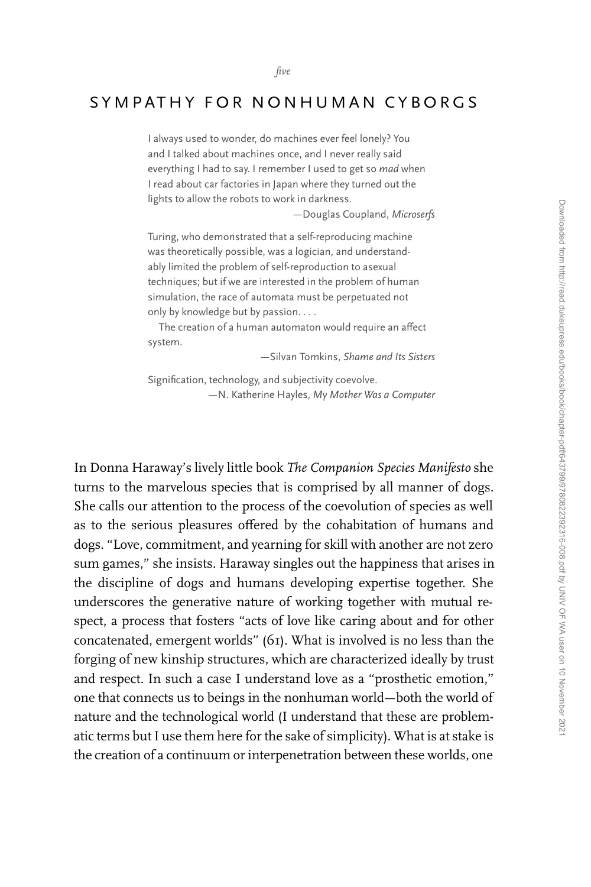## SYMPATHY FOR NONHUMAN CYBORGS

*five*

I always used to wonder, do machines ever feel lonely? You and I talked about machines once, and I never really said everything I had to say. I remember I used to get so *mad* when I read about car factories in Japan where they turned out the lights to allow the robots to work in darkness.

—Douglas Coupland, *Microserfs*

Turing, who demonstrated that a self-reproducing machine was theoretically possible, was a logician, and understandably limited the problem of self-reproduction to asexual techniques; but if we are interested in the problem of human simulation, the race of automata must be perpetuated not only by knowledge but by passion. . . .

The creation of a human automaton would require an affect system.

—Silvan Tomkins, *Shame and Its Sisters*

Signification, technology, and subjectivity coevolve. —N. Katherine Hayles, *My Mother Was a Computer*

In Donna Haraway's lively little book *The Companion Species Manifesto* she turns to the marvelous species that is comprised by all manner of dogs. She calls our attention to the process of the coevolution of species as well as to the serious pleasures offered by the cohabitation of humans and dogs. ''Love, commitment, and yearning for skill with another are not zero sum games," she insists. Haraway singles out the happiness that arises in the discipline of dogs and humans developing expertise together. She underscores the generative nature of working together with mutual respect, a process that fosters ''acts of love like caring about and for other concatenated, emergent worlds'' (61). What is involved is no less than the forging of new kinship structures, which are characterized ideally by trust and respect. In such a case I understand love as a ''prosthetic emotion,'' one that connects us to beings in the nonhuman world—both the world of nature and the technological world (I understand that these are problematic terms but I use them here for the sake of simplicity). What is at stake is the creation of a continuum or interpenetration between these worlds, one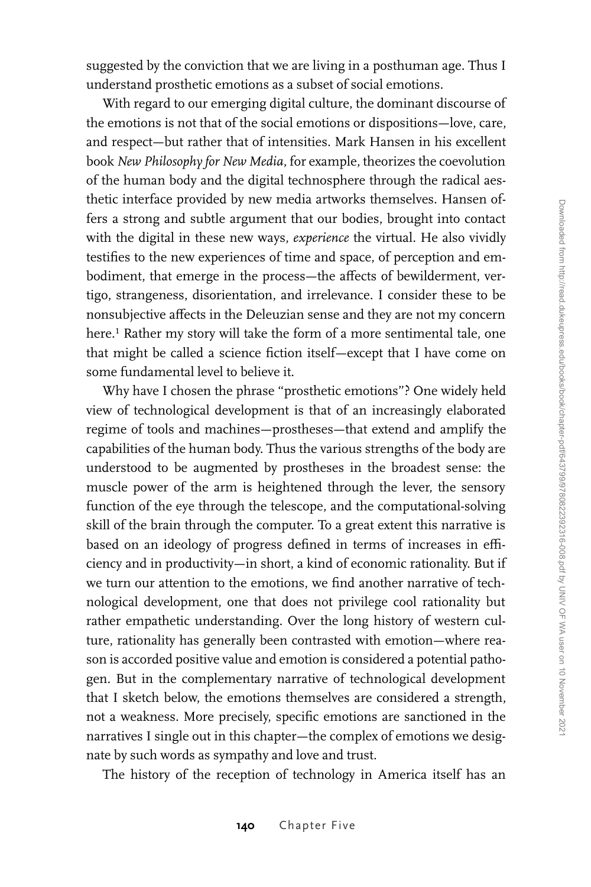suggested by the conviction that we are living in a posthuman age. Thus I understand prosthetic emotions as a subset of social emotions.

With regard to our emerging digital culture, the dominant discourse of the emotions is not that of the social emotions or dispositions—love, care, and respect—but rather that of intensities. Mark Hansen in his excellent book *New Philosophy for New Media*, for example, theorizes the coevolution of the human body and the digital technosphere through the radical aesthetic interface provided by new media artworks themselves. Hansen offers a strong and subtle argument that our bodies, brought into contact with the digital in these new ways, *experience* the virtual. He also vividly testifies to the new experiences of time and space, of perception and embodiment, that emerge in the process—the affects of bewilderment, vertigo, strangeness, disorientation, and irrelevance. I consider these to be nonsubjective affects in the Deleuzian sense and they are not my concern here.1 Rather my story will take the form of a more sentimental tale, one that might be called a science fiction itself—except that I have come on some fundamental level to believe it.

Why have I chosen the phrase ''prosthetic emotions''? One widely held view of technological development is that of an increasingly elaborated regime of tools and machines—prostheses—that extend and amplify the capabilities of the human body. Thus the various strengths of the body are understood to be augmented by prostheses in the broadest sense: the muscle power of the arm is heightened through the lever, the sensory function of the eye through the telescope, and the computational-solving skill of the brain through the computer. To a great extent this narrative is based on an ideology of progress defined in terms of increases in efficiency and in productivity—in short, a kind of economic rationality. But if we turn our attention to the emotions, we find another narrative of technological development, one that does not privilege cool rationality but rather empathetic understanding. Over the long history of western culture, rationality has generally been contrasted with emotion—where reason is accorded positive value and emotion is considered a potential pathogen. But in the complementary narrative of technological development that I sketch below, the emotions themselves are considered a strength, not a weakness. More precisely, specific emotions are sanctioned in the narratives I single out in this chapter—the complex of emotions we designate by such words as sympathy and love and trust.

The history of the reception of technology in America itself has an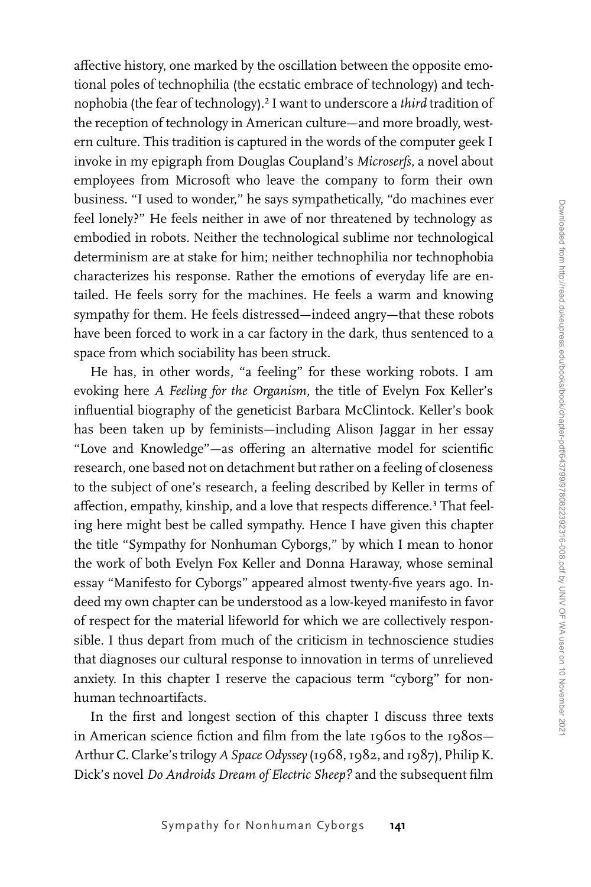affective history, one marked by the oscillation between the opposite emotional poles of technophilia (the ecstatic embrace of technology) and technophobia (the fear of technology).<sup>2</sup> I want to underscore a *third* tradition of the reception of technology in American culture—and more broadly, western culture. This tradition is captured in the words of the computer geek I invoke in my epigraph from Douglas Coupland's *Microserfs*, a novel about employees from Microsoft who leave the company to form their own business. ''I used to wonder,'' he says sympathetically, ''do machines ever feel lonely?'' He feels neither in awe of nor threatened by technology as embodied in robots. Neither the technological sublime nor technological determinism are at stake for him; neither technophilia nor technophobia characterizes his response. Rather the emotions of everyday life are entailed. He feels sorry for the machines. He feels a warm and knowing sympathy for them. He feels distressed—indeed angry—that these robots have been forced to work in a car factory in the dark, thus sentenced to a space from which sociability has been struck.

He has, in other words, "a feeling" for these working robots. I am evoking here *A Feeling for the Organism*, the title of Evelyn Fox Keller's influential biography of the geneticist Barbara McClintock. Keller's book has been taken up by feminists—including Alison Jaggar in her essay "Love and Knowledge"—as offering an alternative model for scientific research, one based not on detachment but rather on a feeling of closeness to the subject of one's research, a feeling described by Keller in terms of affection, empathy, kinship, and a love that respects difference.<sup>3</sup> That feeling here might best be called sympathy. Hence I have given this chapter the title ''Sympathy for Nonhuman Cyborgs,'' by which I mean to honor the work of both Evelyn Fox Keller and Donna Haraway, whose seminal essay ''Manifesto for Cyborgs'' appeared almost twenty-five years ago. Indeed my own chapter can be understood as a low-keyed manifesto in favor of respect for the material lifeworld for which we are collectively responsible. I thus depart from much of the criticism in technoscience studies that diagnoses our cultural response to innovation in terms of unrelieved anxiety. In this chapter I reserve the capacious term "cyborg" for nonhuman technoartifacts.

In the first and longest section of this chapter I discuss three texts in American science fiction and film from the late 1960s to the 1980s-Arthur C. Clarke's trilogy *A Space Odyssey* (1968, 1982, and 1987), Philip K. Dick's novel *Do Androids Dream of Electric Sheep?* and the subsequent film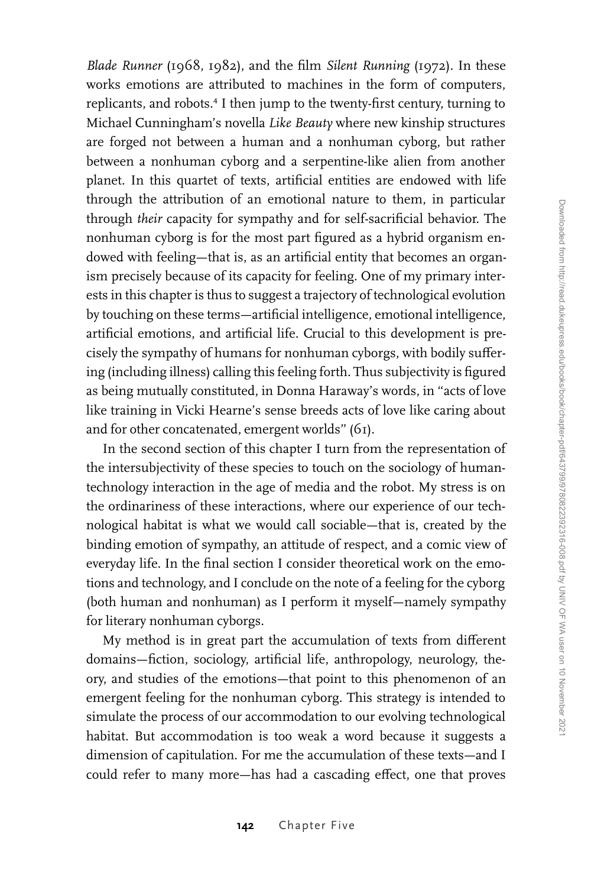*Blade Runner* (1968, 1982), and the film *Silent Running* (1972). In these works emotions are attributed to machines in the form of computers, replicants, and robots.∂ I then jump to the twenty-first century, turning to Michael Cunningham's novella *Like Beauty* where new kinship structures are forged not between a human and a nonhuman cyborg, but rather between a nonhuman cyborg and a serpentine-like alien from another planet. In this quartet of texts, artificial entities are endowed with life through the attribution of an emotional nature to them, in particular through *their* capacity for sympathy and for self-sacrificial behavior. The nonhuman cyborg is for the most part figured as a hybrid organism endowed with feeling—that is, as an artificial entity that becomes an organism precisely because of its capacity for feeling. One of my primary interests in this chapter is thus to suggest a trajectory of technological evolution by touching on these terms—artificial intelligence, emotional intelligence, artificial emotions, and artificial life. Crucial to this development is precisely the sympathy of humans for nonhuman cyborgs, with bodily suffering (including illness) calling this feeling forth. Thus subjectivity is figured as being mutually constituted, in Donna Haraway's words, in ''acts of love like training in Vicki Hearne's sense breeds acts of love like caring about and for other concatenated, emergent worlds'' (61).

In the second section of this chapter I turn from the representation of the intersubjectivity of these species to touch on the sociology of humantechnology interaction in the age of media and the robot. My stress is on the ordinariness of these interactions, where our experience of our technological habitat is what we would call sociable—that is, created by the binding emotion of sympathy, an attitude of respect, and a comic view of everyday life. In the final section I consider theoretical work on the emotions and technology, and I conclude on the note of a feeling for the cyborg (both human and nonhuman) as I perform it myself—namely sympathy for literary nonhuman cyborgs.

My method is in great part the accumulation of texts from different domains—fiction, sociology, artificial life, anthropology, neurology, theory, and studies of the emotions—that point to this phenomenon of an emergent feeling for the nonhuman cyborg. This strategy is intended to simulate the process of our accommodation to our evolving technological habitat. But accommodation is too weak a word because it suggests a dimension of capitulation. For me the accumulation of these texts—and I could refer to many more—has had a cascading effect, one that proves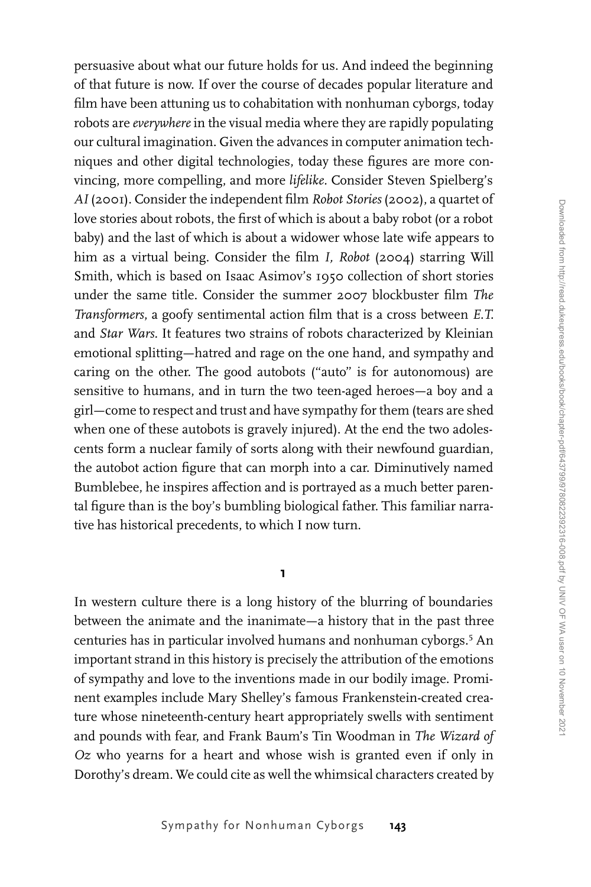persuasive about what our future holds for us. And indeed the beginning of that future is now. If over the course of decades popular literature and film have been attuning us to cohabitation with nonhuman cyborgs, today robots are *everywhere* in the visual media where they are rapidly populating our cultural imagination. Given the advances in computer animation techniques and other digital technologies, today these figures are more convincing, more compelling, and more *lifelike.* Consider Steven Spielberg's *AI* (2001). Consider the independent film *Robot Stories* (2002), a quartet of love stories about robots, the first of which is about a baby robot (or a robot baby) and the last of which is about a widower whose late wife appears to him as a virtual being. Consider the film *I, Robot* (2004) starring Will Smith, which is based on Isaac Asimov's 1950 collection of short stories under the same title. Consider the summer 2007 blockbuster film *The Transformers*, a goofy sentimental action film that is a cross between *E.T.* and *Star Wars.* It features two strains of robots characterized by Kleinian emotional splitting—hatred and rage on the one hand, and sympathy and caring on the other. The good autobots (''auto'' is for autonomous) are sensitive to humans, and in turn the two teen-aged heroes—a boy and a girl—come to respect and trust and have sympathy for them (tears are shed when one of these autobots is gravely injured). At the end the two adolescents form a nuclear family of sorts along with their newfound guardian, the autobot action figure that can morph into a car. Diminutively named Bumblebee, he inspires affection and is portrayed as a much better parental figure than is the boy's bumbling biological father. This familiar narrative has historical precedents, to which I now turn.

**1**

In western culture there is a long history of the blurring of boundaries between the animate and the inanimate—a history that in the past three centuries has in particular involved humans and nonhuman cyborgs.∑ An important strand in this history is precisely the attribution of the emotions of sympathy and love to the inventions made in our bodily image. Prominent examples include Mary Shelley's famous Frankenstein-created creature whose nineteenth-century heart appropriately swells with sentiment and pounds with fear, and Frank Baum's Tin Woodman in *The Wizard of Oz* who yearns for a heart and whose wish is granted even if only in Dorothy's dream*.* We could cite as well the whimsical characters created by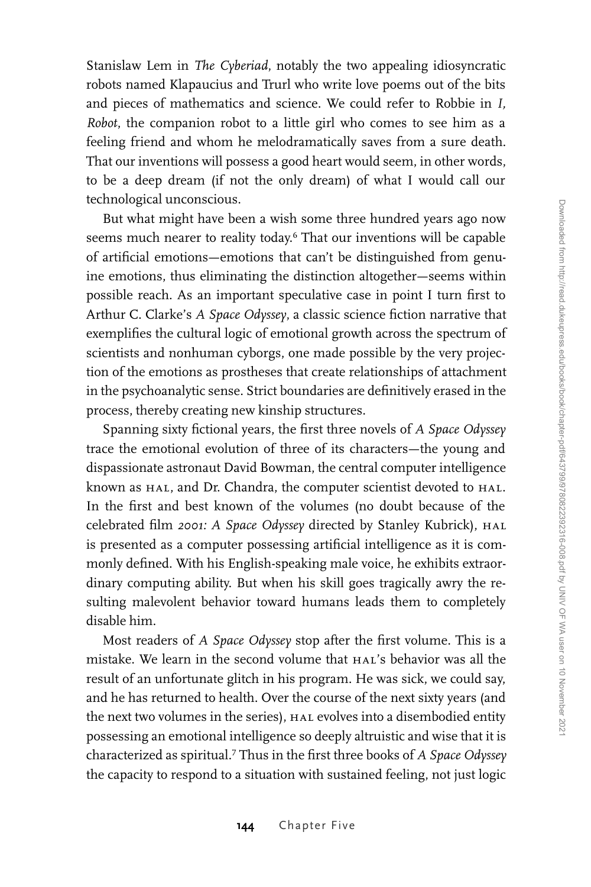Stanislaw Lem in *The Cyberiad*, notably the two appealing idiosyncratic robots named Klapaucius and Trurl who write love poems out of the bits and pieces of mathematics and science. We could refer to Robbie in *I, Robot*, the companion robot to a little girl who comes to see him as a feeling friend and whom he melodramatically saves from a sure death. That our inventions will possess a good heart would seem, in other words, to be a deep dream (if not the only dream) of what I would call our technological unconscious.

But what might have been a wish some three hundred years ago now seems much nearer to reality today.<sup>6</sup> That our inventions will be capable of artificial emotions—emotions that can't be distinguished from genuine emotions, thus eliminating the distinction altogether—seems within possible reach. As an important speculative case in point I turn first to Arthur C. Clarke's *A Space Odyssey*, a classic science fiction narrative that exemplifies the cultural logic of emotional growth across the spectrum of scientists and nonhuman cyborgs, one made possible by the very projection of the emotions as prostheses that create relationships of attachment in the psychoanalytic sense. Strict boundaries are definitively erased in the process, thereby creating new kinship structures.

Spanning sixty fictional years, the first three novels of *A Space Odyssey* trace the emotional evolution of three of its characters—the young and dispassionate astronaut David Bowman, the central computer intelligence known as  $HAL$ , and Dr. Chandra, the computer scientist devoted to  $HAL$ . In the first and best known of the volumes (no doubt because of the celebrated film *2001: A Space Odyssey* directed by Stanley Kubrick), наг is presented as a computer possessing artificial intelligence as it is commonly defined. With his English-speaking male voice, he exhibits extraordinary computing ability. But when his skill goes tragically awry the resulting malevolent behavior toward humans leads them to completely disable him.

Most readers of *A Space Odyssey* stop after the first volume. This is a mistake. We learn in the second volume that  $HAL's$  behavior was all the result of an unfortunate glitch in his program. He was sick, we could say, and he has returned to health. Over the course of the next sixty years (and the next two volumes in the series), HAL evolves into a disembodied entity possessing an emotional intelligence so deeply altruistic and wise that it is characterized as spiritual.π Thus in the first three books of *A Space Odyssey* the capacity to respond to a situation with sustained feeling, not just logic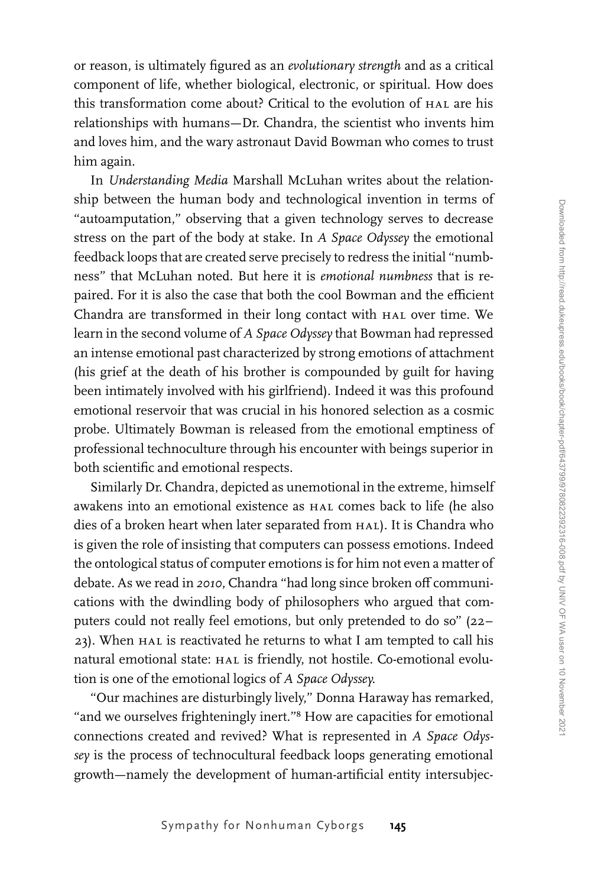or reason, is ultimately figured as an *evolutionary strength* and as a critical component of life, whether biological, electronic, or spiritual. How does this transformation come about? Critical to the evolution of HAL are his relationships with humans—Dr. Chandra, the scientist who invents him and loves him, and the wary astronaut David Bowman who comes to trust him again.

In *Understanding Media* Marshall McLuhan writes about the relationship between the human body and technological invention in terms of ''autoamputation,'' observing that a given technology serves to decrease stress on the part of the body at stake. In *A Space Odyssey* the emotional feedback loops that are created serve precisely to redress the initial ''numbness'' that McLuhan noted. But here it is *emotional numbness* that is repaired. For it is also the case that both the cool Bowman and the efficient Chandra are transformed in their long contact with HAL over time. We learn in the second volume of *A Space Odyssey* that Bowman had repressed an intense emotional past characterized by strong emotions of attachment (his grief at the death of his brother is compounded by guilt for having been intimately involved with his girlfriend). Indeed it was this profound emotional reservoir that was crucial in his honored selection as a cosmic probe. Ultimately Bowman is released from the emotional emptiness of professional technoculture through his encounter with beings superior in both scientific and emotional respects.

Similarly Dr. Chandra, depicted as unemotional in the extreme, himself awakens into an emotional existence as HAL comes back to life (he also dies of a broken heart when later separated from HAL). It is Chandra who is given the role of insisting that computers can possess emotions. Indeed the ontological status of computer emotions is for him not even a matter of debate. As we read in *2010*, Chandra "had long since broken off communications with the dwindling body of philosophers who argued that computers could not really feel emotions, but only pretended to do so'' (22– 23). When HAL is reactivated he returns to what I am tempted to call his natural emotional state:  $HAL$  is friendly, not hostile. Co-emotional evolution is one of the emotional logics of *A Space Odyssey.*

''Our machines are disturbingly lively,'' Donna Haraway has remarked, "and we ourselves frighteningly inert."<sup>8</sup> How are capacities for emotional connections created and revived? What is represented in *A Space Odyssey* is the process of technocultural feedback loops generating emotional growth—namely the development of human-artificial entity intersubjec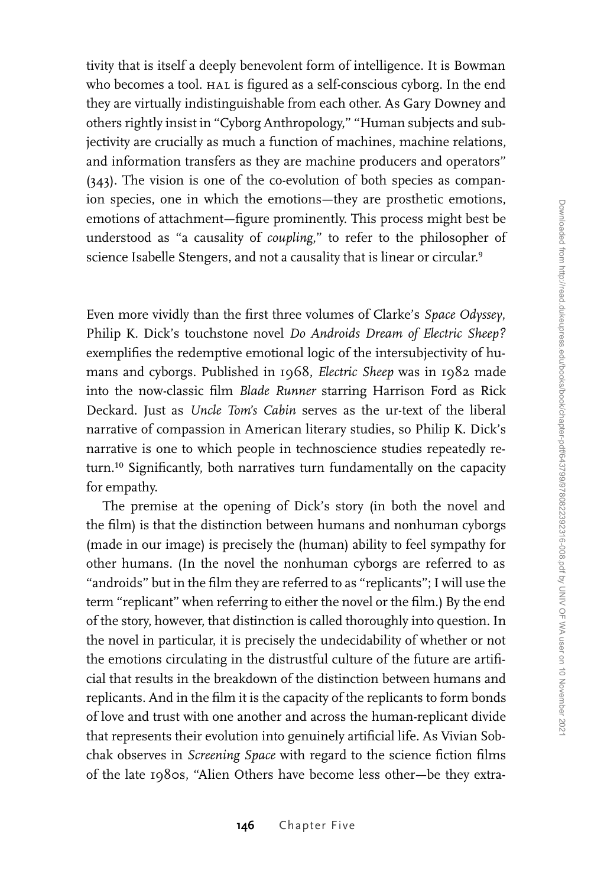tivity that is itself a deeply benevolent form of intelligence. It is Bowman who becomes a tool. HAL is figured as a self-conscious cyborg. In the end they are virtually indistinguishable from each other. As Gary Downey and others rightly insist in "Cyborg Anthropology," "Human subjects and subjectivity are crucially as much a function of machines, machine relations, and information transfers as they are machine producers and operators'' (343). The vision is one of the co-evolution of both species as companion species, one in which the emotions—they are prosthetic emotions, emotions of attachment—figure prominently. This process might best be understood as ''a causality of *coupling*,'' to refer to the philosopher of science Isabelle Stengers, and not a causality that is linear or circular.<sup>9</sup>

Even more vividly than the first three volumes of Clarke's *Space Odyssey*, Philip K. Dick's touchstone novel *Do Androids Dream of Electric Sheep?* exemplifies the redemptive emotional logic of the intersubjectivity of humans and cyborgs. Published in 1968, *Electric Sheep* was in 1982 made into the now-classic film *Blade Runner* starring Harrison Ford as Rick Deckard. Just as *Uncle Tom's Cabin* serves as the ur-text of the liberal narrative of compassion in American literary studies, so Philip K. Dick's narrative is one to which people in technoscience studies repeatedly return.<sup>10</sup> Significantly, both narratives turn fundamentally on the capacity for empathy.

The premise at the opening of Dick's story (in both the novel and the film) is that the distinction between humans and nonhuman cyborgs (made in our image) is precisely the (human) ability to feel sympathy for other humans. (In the novel the nonhuman cyborgs are referred to as "androids" but in the film they are referred to as "replicants"; I will use the term "replicant" when referring to either the novel or the film.) By the end of the story, however, that distinction is called thoroughly into question. In the novel in particular, it is precisely the undecidability of whether or not the emotions circulating in the distrustful culture of the future are artificial that results in the breakdown of the distinction between humans and replicants. And in the film it is the capacity of the replicants to form bonds of love and trust with one another and across the human-replicant divide that represents their evolution into genuinely artificial life. As Vivian Sobchak observes in *Screening Space* with regard to the science fiction films of the late 1980s, ''Alien Others have become less other—be they extra-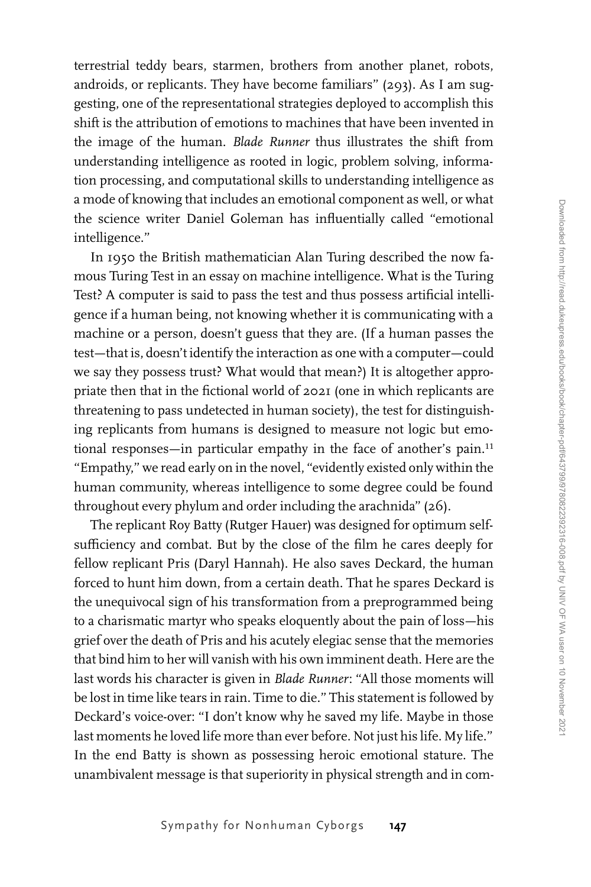terrestrial teddy bears, starmen, brothers from another planet, robots, androids, or replicants. They have become familiars'' (293). As I am suggesting, one of the representational strategies deployed to accomplish this shift is the attribution of emotions to machines that have been invented in the image of the human. *Blade Runner* thus illustrates the shift from understanding intelligence as rooted in logic, problem solving, information processing, and computational skills to understanding intelligence as a mode of knowing that includes an emotional component as well, or what the science writer Daniel Goleman has influentially called ''emotional intelligence.''

In 1950 the British mathematician Alan Turing described the now famous Turing Test in an essay on machine intelligence. What is the Turing Test? A computer is said to pass the test and thus possess artificial intelligence if a human being, not knowing whether it is communicating with a machine or a person, doesn't guess that they are. (If a human passes the test—that is, doesn't identify the interaction as one with a computer—could we say they possess trust? What would that mean?) It is altogether appropriate then that in the fictional world of 2021 (one in which replicants are threatening to pass undetected in human society), the test for distinguishing replicants from humans is designed to measure not logic but emotional responses—in particular empathy in the face of another's pain.<sup>11</sup> ''Empathy,'' we read early on in the novel, ''evidently existed only within the human community, whereas intelligence to some degree could be found throughout every phylum and order including the arachnida'' (26).

The replicant Roy Batty (Rutger Hauer) was designed for optimum selfsufficiency and combat. But by the close of the film he cares deeply for fellow replicant Pris (Daryl Hannah). He also saves Deckard, the human forced to hunt him down, from a certain death. That he spares Deckard is the unequivocal sign of his transformation from a preprogrammed being to a charismatic martyr who speaks eloquently about the pain of loss—his grief over the death of Pris and his acutely elegiac sense that the memories that bind him to her will vanish with his own imminent death. Here are the last words his character is given in *Blade Runner*: ''All those moments will be lost in time like tears in rain. Time to die.'' This statement is followed by Deckard's voice-over: ''I don't know why he saved my life. Maybe in those last moments he loved life more than ever before. Not just his life. My life.'' In the end Batty is shown as possessing heroic emotional stature. The unambivalent message is that superiority in physical strength and in com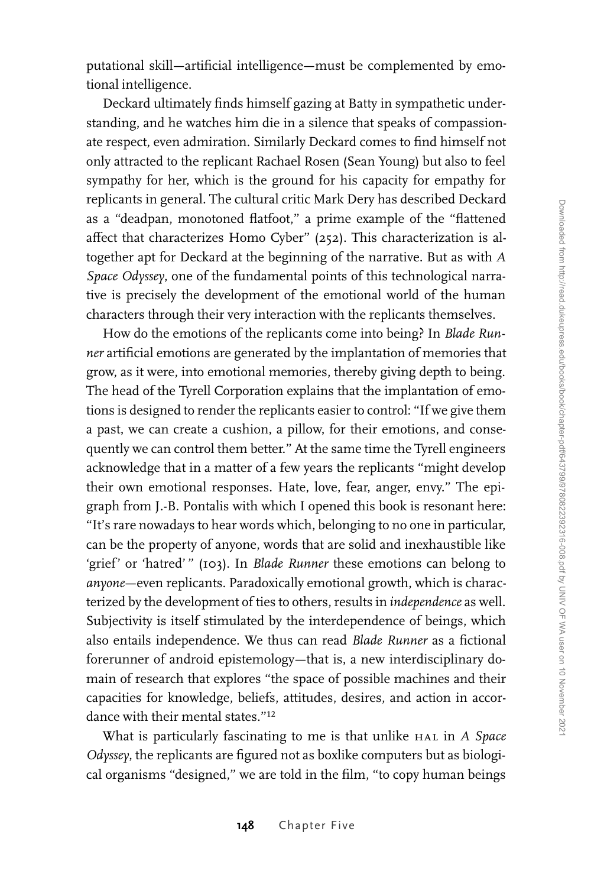putational skill—artificial intelligence—must be complemented by emotional intelligence.

Deckard ultimately finds himself gazing at Batty in sympathetic understanding, and he watches him die in a silence that speaks of compassionate respect, even admiration. Similarly Deckard comes to find himself not only attracted to the replicant Rachael Rosen (Sean Young) but also to feel sympathy for her, which is the ground for his capacity for empathy for replicants in general. The cultural critic Mark Dery has described Deckard as a ''deadpan, monotoned flatfoot,'' a prime example of the ''flattened affect that characterizes Homo Cyber" (252). This characterization is altogether apt for Deckard at the beginning of the narrative. But as with *A Space Odyssey*, one of the fundamental points of this technological narrative is precisely the development of the emotional world of the human characters through their very interaction with the replicants themselves.

How do the emotions of the replicants come into being? In *Blade Runner* artificial emotions are generated by the implantation of memories that grow, as it were, into emotional memories, thereby giving depth to being. The head of the Tyrell Corporation explains that the implantation of emotions is designed to render the replicants easier to control: ''If we give them a past, we can create a cushion, a pillow, for their emotions, and consequently we can control them better.'' At the same time the Tyrell engineers acknowledge that in a matter of a few years the replicants ''might develop their own emotional responses. Hate, love, fear, anger, envy.'' The epigraph from J.-B. Pontalis with which I opened this book is resonant here: ''It's rare nowadays to hear words which, belonging to no one in particular, can be the property of anyone, words that are solid and inexhaustible like 'grief' or 'hatred' '' (103). In *Blade Runner* these emotions can belong to *anyone*—even replicants. Paradoxically emotional growth, which is characterized by the development of ties to others, results in *independence* as well. Subjectivity is itself stimulated by the interdependence of beings, which also entails independence. We thus can read *Blade Runner* as a fictional forerunner of android epistemology—that is, a new interdisciplinary domain of research that explores ''the space of possible machines and their capacities for knowledge, beliefs, attitudes, desires, and action in accordance with their mental states."<sup>12</sup>

What is particularly fascinating to me is that unlike HAL in *A Space Odyssey*, the replicants are figured not as boxlike computers but as biological organisms ''designed,'' we are told in the film, ''to copy human beings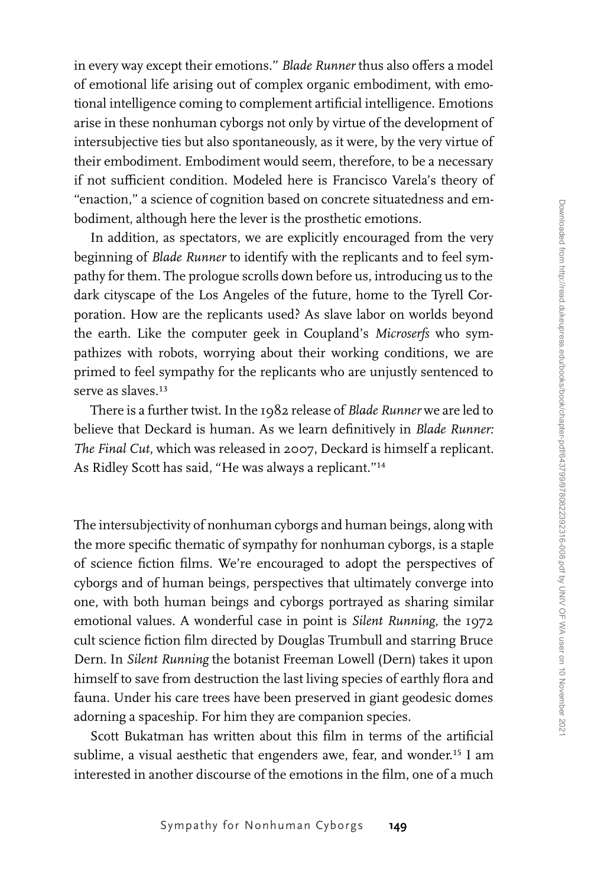in every way except their emotions." *Blade Runner* thus also offers a model of emotional life arising out of complex organic embodiment, with emotional intelligence coming to complement artificial intelligence. Emotions arise in these nonhuman cyborgs not only by virtue of the development of intersubjective ties but also spontaneously, as it were, by the very virtue of their embodiment. Embodiment would seem, therefore, to be a necessary if not sufficient condition. Modeled here is Francisco Varela's theory of ''enaction,'' a science of cognition based on concrete situatedness and embodiment, although here the lever is the prosthetic emotions.

In addition, as spectators, we are explicitly encouraged from the very beginning of *Blade Runner* to identify with the replicants and to feel sympathy for them. The prologue scrolls down before us, introducing us to the dark cityscape of the Los Angeles of the future, home to the Tyrell Corporation. How are the replicants used? As slave labor on worlds beyond the earth. Like the computer geek in Coupland's *Microserfs* who sympathizes with robots, worrying about their working conditions, we are primed to feel sympathy for the replicants who are unjustly sentenced to serve as slaves.<sup>13</sup>

There is a further twist. In the 1982 release of *Blade Runner* we are led to believe that Deckard is human. As we learn definitively in *Blade Runner: The Final Cut*, which was released in 2007, Deckard is himself a replicant. As Ridley Scott has said, "He was always a replicant."<sup>14</sup>

The intersubjectivity of nonhuman cyborgs and human beings, along with the more specific thematic of sympathy for nonhuman cyborgs, is a staple of science fiction films. We're encouraged to adopt the perspectives of cyborgs and of human beings, perspectives that ultimately converge into one, with both human beings and cyborgs portrayed as sharing similar emotional values. A wonderful case in point is *Silent Running*, the 1972 cult science fiction film directed by Douglas Trumbull and starring Bruce Dern. In *Silent Running* the botanist Freeman Lowell (Dern) takes it upon himself to save from destruction the last living species of earthly flora and fauna. Under his care trees have been preserved in giant geodesic domes adorning a spaceship. For him they are companion species.

Scott Bukatman has written about this film in terms of the artificial sublime, a visual aesthetic that engenders awe, fear, and wonder.<sup>15</sup> I am interested in another discourse of the emotions in the film, one of a much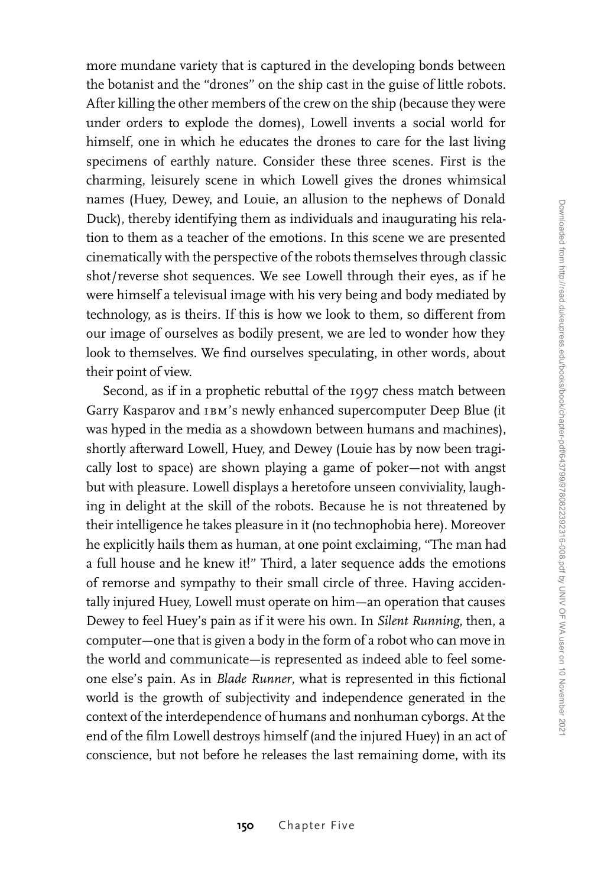more mundane variety that is captured in the developing bonds between the botanist and the ''drones'' on the ship cast in the guise of little robots. After killing the other members of the crew on the ship (because they were under orders to explode the domes), Lowell invents a social world for himself, one in which he educates the drones to care for the last living specimens of earthly nature. Consider these three scenes. First is the charming, leisurely scene in which Lowell gives the drones whimsical names (Huey, Dewey, and Louie, an allusion to the nephews of Donald Duck), thereby identifying them as individuals and inaugurating his relation to them as a teacher of the emotions. In this scene we are presented cinematically with the perspective of the robots themselves through classic shot/reverse shot sequences. We see Lowell through their eyes, as if he were himself a televisual image with his very being and body mediated by technology, as is theirs. If this is how we look to them, so different from our image of ourselves as bodily present, we are led to wonder how they look to themselves. We find ourselves speculating, in other words, about their point of view.

Second, as if in a prophetic rebuttal of the 1997 chess match between Garry Kasparov and IBM's newly enhanced supercomputer Deep Blue (it was hyped in the media as a showdown between humans and machines), shortly afterward Lowell, Huey, and Dewey (Louie has by now been tragically lost to space) are shown playing a game of poker—not with angst but with pleasure. Lowell displays a heretofore unseen conviviality, laughing in delight at the skill of the robots. Because he is not threatened by their intelligence he takes pleasure in it (no technophobia here). Moreover he explicitly hails them as human, at one point exclaiming, ''The man had a full house and he knew it!'' Third, a later sequence adds the emotions of remorse and sympathy to their small circle of three. Having accidentally injured Huey, Lowell must operate on him—an operation that causes Dewey to feel Huey's pain as if it were his own. In *Silent Running*, then, a computer—one that is given a body in the form of a robot who can move in the world and communicate—is represented as indeed able to feel someone else's pain. As in *Blade Runner*, what is represented in this fictional world is the growth of subjectivity and independence generated in the context of the interdependence of humans and nonhuman cyborgs. At the end of the film Lowell destroys himself (and the injured Huey) in an act of conscience, but not before he releases the last remaining dome, with its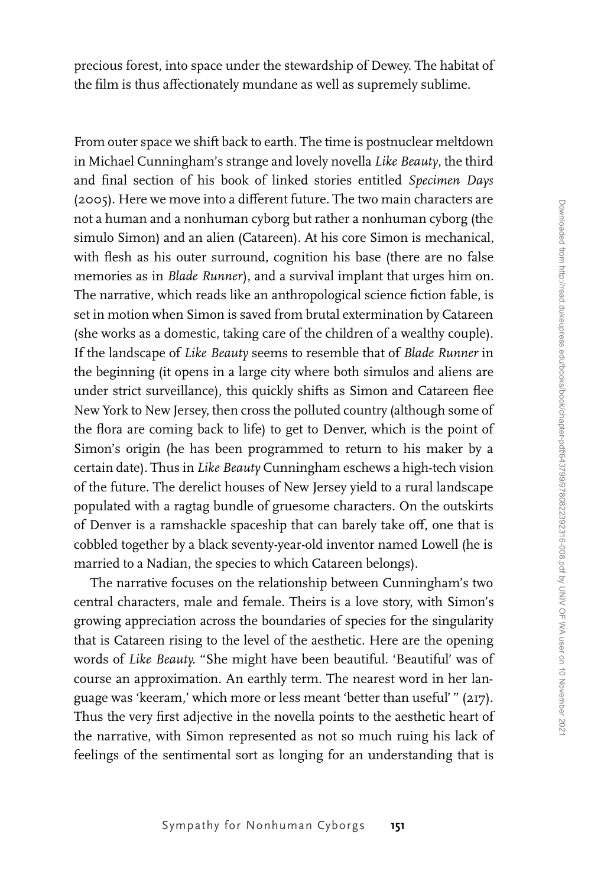precious forest, into space under the stewardship of Dewey. The habitat of the film is thus affectionately mundane as well as supremely sublime.

From outer space we shift back to earth. The time is postnuclear meltdown in Michael Cunningham's strange and lovely novella *Like Beauty*, the third and final section of his book of linked stories entitled *Specimen Days* (2005). Here we move into a di√erent future. The two main characters are not a human and a nonhuman cyborg but rather a nonhuman cyborg (the simulo Simon) and an alien (Catareen). At his core Simon is mechanical, with flesh as his outer surround, cognition his base (there are no false memories as in *Blade Runner*), and a survival implant that urges him on. The narrative, which reads like an anthropological science fiction fable, is set in motion when Simon is saved from brutal extermination by Catareen (she works as a domestic, taking care of the children of a wealthy couple). If the landscape of *Like Beauty* seems to resemble that of *Blade Runner* in the beginning (it opens in a large city where both simulos and aliens are under strict surveillance), this quickly shifts as Simon and Catareen flee New York to New Jersey, then cross the polluted country (although some of the flora are coming back to life) to get to Denver, which is the point of Simon's origin (he has been programmed to return to his maker by a certain date). Thus in *Like Beauty* Cunningham eschews a high-tech vision of the future. The derelict houses of New Jersey yield to a rural landscape populated with a ragtag bundle of gruesome characters. On the outskirts of Denver is a ramshackle spaceship that can barely take off, one that is cobbled together by a black seventy-year-old inventor named Lowell (he is married to a Nadian, the species to which Catareen belongs).

The narrative focuses on the relationship between Cunningham's two central characters, male and female. Theirs is a love story, with Simon's growing appreciation across the boundaries of species for the singularity that is Catareen rising to the level of the aesthetic. Here are the opening words of *Like Beauty*. "She might have been beautiful. 'Beautiful' was of course an approximation. An earthly term. The nearest word in her language was 'keeram,' which more or less meant 'better than useful' '' (217). Thus the very first adjective in the novella points to the aesthetic heart of the narrative, with Simon represented as not so much ruing his lack of feelings of the sentimental sort as longing for an understanding that is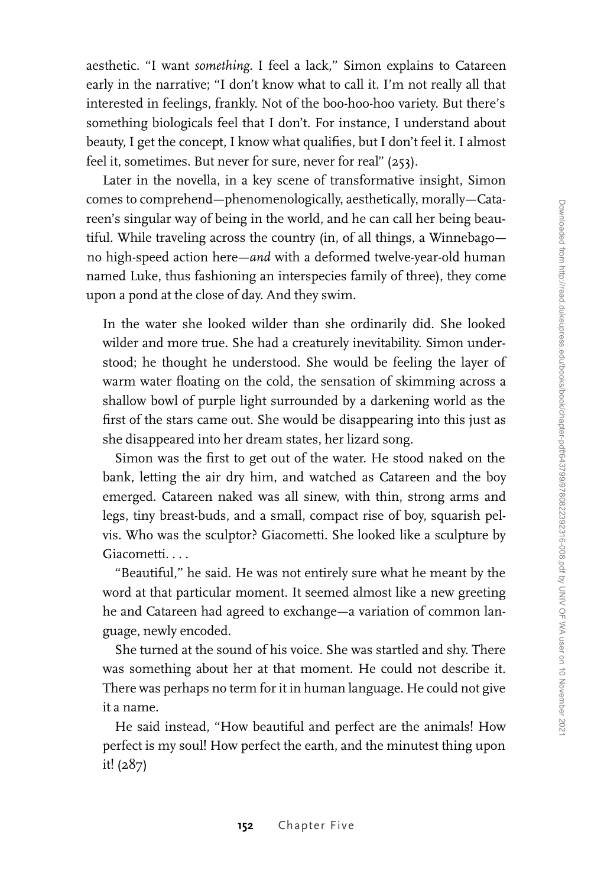aesthetic. ''I want *something.* I feel a lack,'' Simon explains to Catareen early in the narrative; ''I don't know what to call it. I'm not really all that interested in feelings, frankly. Not of the boo-hoo-hoo variety. But there's something biologicals feel that I don't. For instance, I understand about beauty, I get the concept, I know what qualifies, but I don't feel it. I almost feel it, sometimes. But never for sure, never for real'' (253).

Later in the novella, in a key scene of transformative insight, Simon comes to comprehend—phenomenologically, aesthetically, morally—Catareen's singular way of being in the world, and he can call her being beautiful. While traveling across the country (in, of all things, a Winnebago no high-speed action here—*and* with a deformed twelve-year-old human named Luke, thus fashioning an interspecies family of three), they come upon a pond at the close of day. And they swim.

In the water she looked wilder than she ordinarily did. She looked wilder and more true. She had a creaturely inevitability. Simon understood; he thought he understood. She would be feeling the layer of warm water floating on the cold, the sensation of skimming across a shallow bowl of purple light surrounded by a darkening world as the first of the stars came out. She would be disappearing into this just as she disappeared into her dream states, her lizard song.

Simon was the first to get out of the water. He stood naked on the bank, letting the air dry him, and watched as Catareen and the boy emerged. Catareen naked was all sinew, with thin, strong arms and legs, tiny breast-buds, and a small, compact rise of boy, squarish pelvis. Who was the sculptor? Giacometti. She looked like a sculpture by Giacometti. . . .

''Beautiful,'' he said. He was not entirely sure what he meant by the word at that particular moment. It seemed almost like a new greeting he and Catareen had agreed to exchange—a variation of common language, newly encoded.

She turned at the sound of his voice. She was startled and shy. There was something about her at that moment. He could not describe it. There was perhaps no term for it in human language. He could not give it a name.

He said instead, ''How beautiful and perfect are the animals! How perfect is my soul! How perfect the earth, and the minutest thing upon it! (287)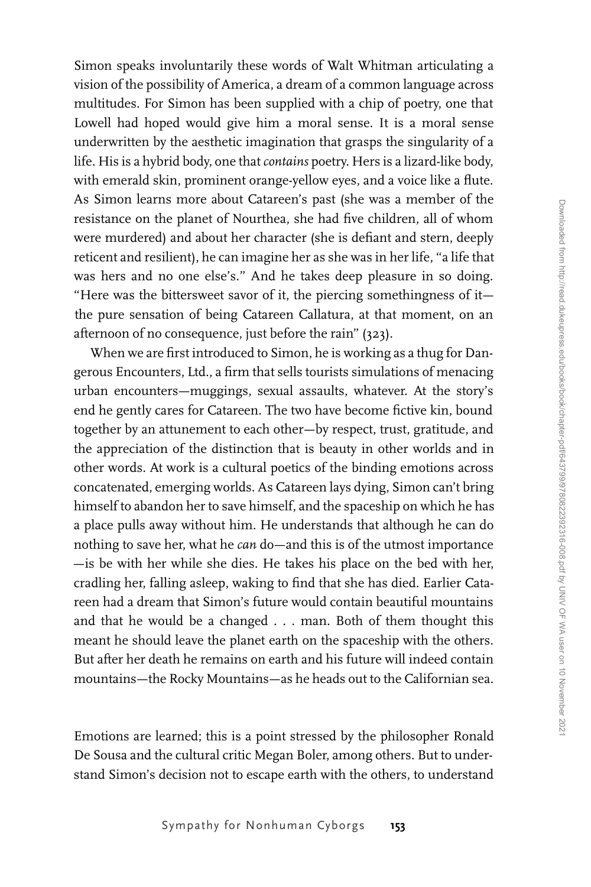Simon speaks involuntarily these words of Walt Whitman articulating a vision of the possibility of America, a dream of a common language across multitudes. For Simon has been supplied with a chip of poetry, one that Lowell had hoped would give him a moral sense. It is a moral sense underwritten by the aesthetic imagination that grasps the singularity of a life. His is a hybrid body, one that *contains* poetry. Hers is a lizard-like body, with emerald skin, prominent orange-yellow eyes, and a voice like a flute. As Simon learns more about Catareen's past (she was a member of the resistance on the planet of Nourthea, she had five children, all of whom were murdered) and about her character (she is defiant and stern, deeply reticent and resilient), he can imagine her as she was in her life, "a life that was hers and no one else's.'' And he takes deep pleasure in so doing. ''Here was the bittersweet savor of it, the piercing somethingness of it the pure sensation of being Catareen Callatura, at that moment, on an afternoon of no consequence, just before the rain'' (323).

When we are first introduced to Simon, he is working as a thug for Dangerous Encounters, Ltd., a firm that sells tourists simulations of menacing urban encounters—muggings, sexual assaults, whatever. At the story's end he gently cares for Catareen. The two have become fictive kin, bound together by an attunement to each other—by respect, trust, gratitude, and the appreciation of the distinction that is beauty in other worlds and in other words. At work is a cultural poetics of the binding emotions across concatenated, emerging worlds. As Catareen lays dying, Simon can't bring himself to abandon her to save himself, and the spaceship on which he has a place pulls away without him. He understands that although he can do nothing to save her, what he *can* do—and this is of the utmost importance —is be with her while she dies. He takes his place on the bed with her, cradling her, falling asleep, waking to find that she has died. Earlier Catareen had a dream that Simon's future would contain beautiful mountains and that he would be a changed . . . man. Both of them thought this meant he should leave the planet earth on the spaceship with the others. But after her death he remains on earth and his future will indeed contain mountains—the Rocky Mountains—as he heads out to the Californian sea.

Emotions are learned; this is a point stressed by the philosopher Ronald De Sousa and the cultural critic Megan Boler, among others. But to understand Simon's decision not to escape earth with the others, to understand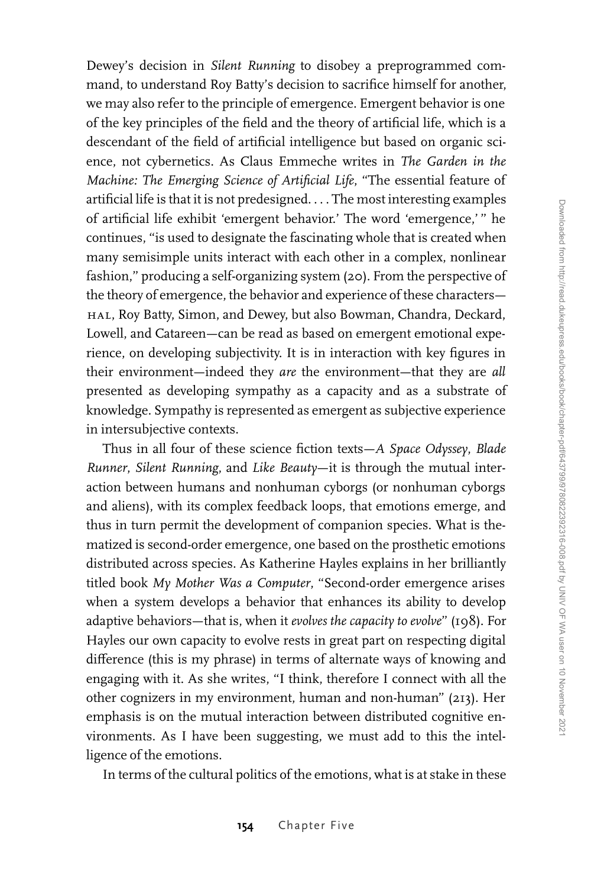Dewey's decision in *Silent Running* to disobey a preprogrammed command, to understand Roy Batty's decision to sacrifice himself for another, we may also refer to the principle of emergence. Emergent behavior is one of the key principles of the field and the theory of artificial life, which is a descendant of the field of artificial intelligence but based on organic science, not cybernetics. As Claus Emmeche writes in *The Garden in the Machine: The Emerging Science of Artificial Life*, ''The essential feature of artificial life is that it is not predesigned. . . . The most interesting examples of artificial life exhibit 'emergent behavior.' The word 'emergence,' '' he continues, ''is used to designate the fascinating whole that is created when many semisimple units interact with each other in a complex, nonlinear fashion,'' producing a self-organizing system (20). From the perspective of the theory of emergence, the behavior and experience of these characters— HAL, Roy Batty, Simon, and Dewey, but also Bowman, Chandra, Deckard, Lowell, and Catareen—can be read as based on emergent emotional experience, on developing subjectivity. It is in interaction with key figures in their environment—indeed they *are* the environment—that they are *all* presented as developing sympathy as a capacity and as a substrate of knowledge. Sympathy is represented as emergent as subjective experience in intersubjective contexts.

Thus in all four of these science fiction texts—*A Space Odyssey*, *Blade Runner*, *Silent Running*, and *Like Beauty*—it is through the mutual interaction between humans and nonhuman cyborgs (or nonhuman cyborgs and aliens), with its complex feedback loops, that emotions emerge, and thus in turn permit the development of companion species. What is thematized is second-order emergence, one based on the prosthetic emotions distributed across species. As Katherine Hayles explains in her brilliantly titled book *My Mother Was a Computer*, ''Second-order emergence arises when a system develops a behavior that enhances its ability to develop adaptive behaviors—that is, when it *evolves the capacity to evolve*'' (198). For Hayles our own capacity to evolve rests in great part on respecting digital difference (this is my phrase) in terms of alternate ways of knowing and engaging with it. As she writes, ''I think, therefore I connect with all the other cognizers in my environment, human and non-human'' (213). Her emphasis is on the mutual interaction between distributed cognitive environments. As I have been suggesting, we must add to this the intelligence of the emotions.

In terms of the cultural politics of the emotions, what is at stake in these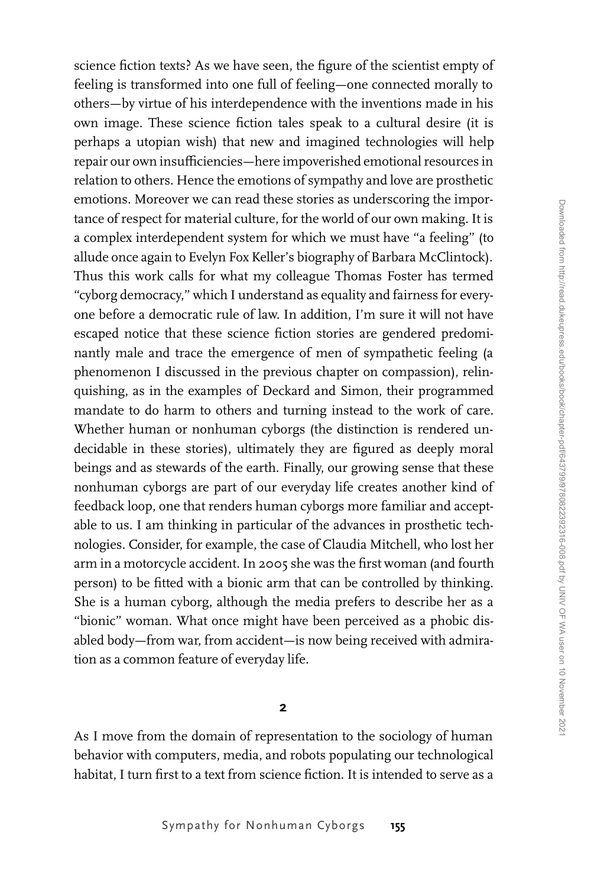science fiction texts? As we have seen, the figure of the scientist empty of feeling is transformed into one full of feeling—one connected morally to others—by virtue of his interdependence with the inventions made in his own image. These science fiction tales speak to a cultural desire (it is perhaps a utopian wish) that new and imagined technologies will help repair our own insufficiencies—here impoverished emotional resources in relation to others. Hence the emotions of sympathy and love are prosthetic emotions. Moreover we can read these stories as underscoring the importance of respect for material culture, for the world of our own making. It is a complex interdependent system for which we must have ''a feeling'' (to allude once again to Evelyn Fox Keller's biography of Barbara McClintock). Thus this work calls for what my colleague Thomas Foster has termed "cyborg democracy," which I understand as equality and fairness for everyone before a democratic rule of law. In addition, I'm sure it will not have escaped notice that these science fiction stories are gendered predominantly male and trace the emergence of men of sympathetic feeling (a phenomenon I discussed in the previous chapter on compassion), relinquishing, as in the examples of Deckard and Simon, their programmed mandate to do harm to others and turning instead to the work of care. Whether human or nonhuman cyborgs (the distinction is rendered undecidable in these stories), ultimately they are figured as deeply moral beings and as stewards of the earth. Finally, our growing sense that these nonhuman cyborgs are part of our everyday life creates another kind of feedback loop, one that renders human cyborgs more familiar and acceptable to us. I am thinking in particular of the advances in prosthetic technologies. Consider, for example, the case of Claudia Mitchell, who lost her arm in a motorcycle accident. In 2005 she was the first woman (and fourth person) to be fitted with a bionic arm that can be controlled by thinking. She is a human cyborg, although the media prefers to describe her as a "bionic" woman. What once might have been perceived as a phobic disabled body—from war, from accident—is now being received with admiration as a common feature of everyday life.

**2**

As I move from the domain of representation to the sociology of human behavior with computers, media, and robots populating our technological habitat, I turn first to a text from science fiction. It is intended to serve as a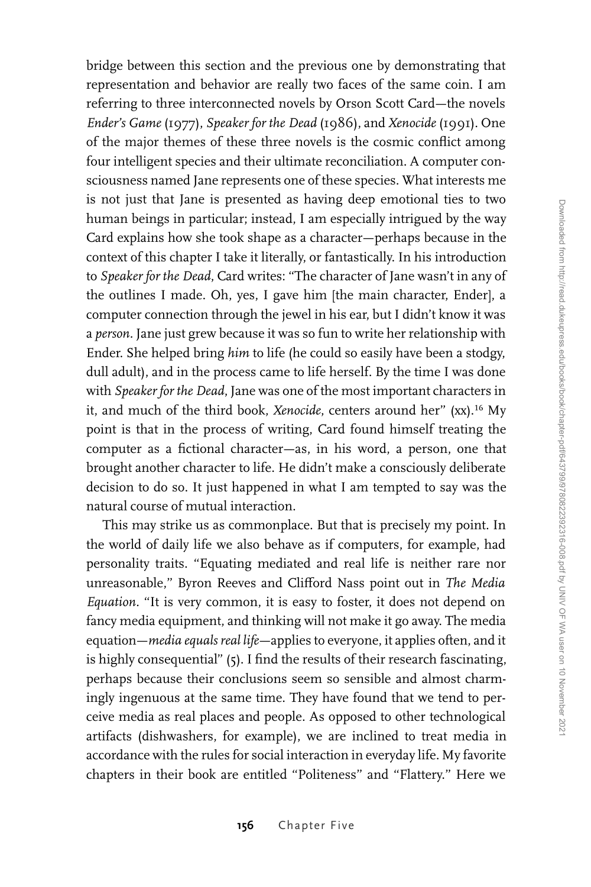bridge between this section and the previous one by demonstrating that representation and behavior are really two faces of the same coin. I am referring to three interconnected novels by Orson Scott Card—the novels *Ender's Game* (1977), *Speaker for the Dead* (1986), and *Xenocide* (1991). One of the major themes of these three novels is the cosmic conflict among four intelligent species and their ultimate reconciliation. A computer consciousness named Jane represents one of these species. What interests me is not just that Jane is presented as having deep emotional ties to two human beings in particular; instead, I am especially intrigued by the way Card explains how she took shape as a character—perhaps because in the context of this chapter I take it literally, or fantastically. In his introduction to *Speaker for the Dead*, Card writes: ''The character of Jane wasn't in any of the outlines I made. Oh, yes, I gave him [the main character, Ender], a computer connection through the jewel in his ear, but I didn't know it was a *person.* Jane just grew because it was so fun to write her relationship with Ender. She helped bring *him* to life (he could so easily have been a stodgy, dull adult), and in the process came to life herself. By the time I was done with *Speaker for the Dead*, Jane was one of the most important characters in it, and much of the third book, *Xenocide*, centers around her" (xx).<sup>16</sup> My point is that in the process of writing, Card found himself treating the computer as a fictional character—as, in his word, a person, one that brought another character to life. He didn't make a consciously deliberate decision to do so. It just happened in what I am tempted to say was the natural course of mutual interaction.

This may strike us as commonplace. But that is precisely my point. In the world of daily life we also behave as if computers, for example, had personality traits. ''Equating mediated and real life is neither rare nor unreasonable," Byron Reeves and Clifford Nass point out in *The Media Equation.* ''It is very common, it is easy to foster, it does not depend on fancy media equipment, and thinking will not make it go away. The media equation—*media equals real life*—applies to everyone, it applies often, and it is highly consequential'' (5). I find the results of their research fascinating, perhaps because their conclusions seem so sensible and almost charmingly ingenuous at the same time. They have found that we tend to perceive media as real places and people. As opposed to other technological artifacts (dishwashers, for example), we are inclined to treat media in accordance with the rules for social interaction in everyday life. My favorite chapters in their book are entitled ''Politeness'' and ''Flattery.'' Here we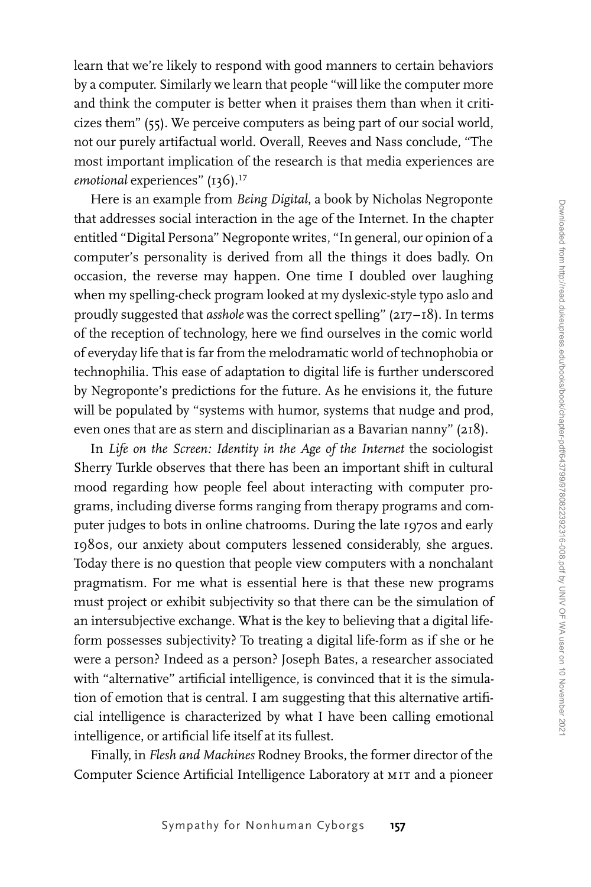learn that we're likely to respond with good manners to certain behaviors by a computer. Similarly we learn that people ''will like the computer more and think the computer is better when it praises them than when it criticizes them'' (55). We perceive computers as being part of our social world, not our purely artifactual world. Overall, Reeves and Nass conclude, ''The most important implication of the research is that media experiences are *emotional* experiences" (136).<sup>17</sup>

Here is an example from *Being Digital*, a book by Nicholas Negroponte that addresses social interaction in the age of the Internet. In the chapter entitled ''Digital Persona'' Negroponte writes, ''In general, our opinion of a computer's personality is derived from all the things it does badly. On occasion, the reverse may happen. One time I doubled over laughing when my spelling-check program looked at my dyslexic-style typo aslo and proudly suggested that *asshole* was the correct spelling'' (217–18). In terms of the reception of technology, here we find ourselves in the comic world of everyday life that is far from the melodramatic world of technophobia or technophilia. This ease of adaptation to digital life is further underscored by Negroponte's predictions for the future. As he envisions it, the future will be populated by "systems with humor, systems that nudge and prod, even ones that are as stern and disciplinarian as a Bavarian nanny'' (218).

In *Life on the Screen: Identity in the Age of the Internet* the sociologist Sherry Turkle observes that there has been an important shift in cultural mood regarding how people feel about interacting with computer programs, including diverse forms ranging from therapy programs and computer judges to bots in online chatrooms. During the late 1970s and early 1980s, our anxiety about computers lessened considerably, she argues. Today there is no question that people view computers with a nonchalant pragmatism. For me what is essential here is that these new programs must project or exhibit subjectivity so that there can be the simulation of an intersubjective exchange. What is the key to believing that a digital lifeform possesses subjectivity? To treating a digital life-form as if she or he were a person? Indeed as a person? Joseph Bates, a researcher associated with "alternative" artificial intelligence, is convinced that it is the simulation of emotion that is central. I am suggesting that this alternative artificial intelligence is characterized by what I have been calling emotional intelligence, or artificial life itself at its fullest.

Finally, in *Flesh and Machines* Rodney Brooks, the former director of the Computer Science Artificial Intelligence Laboratory at MIT and a pioneer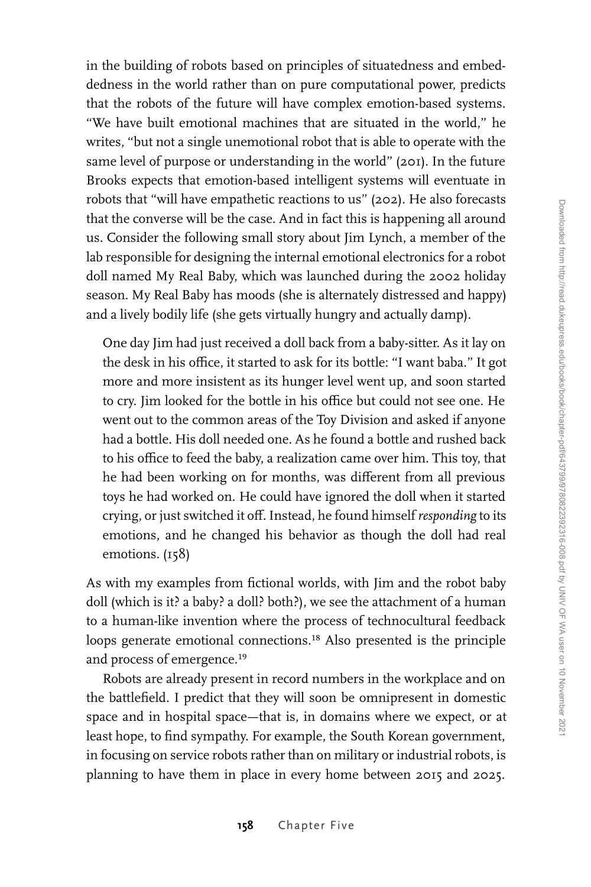in the building of robots based on principles of situatedness and embeddedness in the world rather than on pure computational power, predicts that the robots of the future will have complex emotion-based systems. ''We have built emotional machines that are situated in the world,'' he writes, "but not a single unemotional robot that is able to operate with the same level of purpose or understanding in the world'' (201). In the future Brooks expects that emotion-based intelligent systems will eventuate in robots that ''will have empathetic reactions to us'' (202). He also forecasts that the converse will be the case. And in fact this is happening all around us. Consider the following small story about Jim Lynch, a member of the lab responsible for designing the internal emotional electronics for a robot doll named My Real Baby, which was launched during the 2002 holiday season. My Real Baby has moods (she is alternately distressed and happy) and a lively bodily life (she gets virtually hungry and actually damp).

One day Jim had just received a doll back from a baby-sitter. As it lay on the desk in his office, it started to ask for its bottle: "I want baba." It got more and more insistent as its hunger level went up, and soon started to cry. Jim looked for the bottle in his office but could not see one. He went out to the common areas of the Toy Division and asked if anyone had a bottle. His doll needed one. As he found a bottle and rushed back to his office to feed the baby, a realization came over him. This toy, that he had been working on for months, was different from all previous toys he had worked on. He could have ignored the doll when it started crying, or just switched it off. Instead, he found himself *responding* to its emotions, and he changed his behavior as though the doll had real emotions. (158)

As with my examples from fictional worlds, with Jim and the robot baby doll (which is it? a baby? a doll? both?), we see the attachment of a human to a human-like invention where the process of technocultural feedback loops generate emotional connections.<sup>18</sup> Also presented is the principle and process of emergence.<sup>19</sup>

Robots are already present in record numbers in the workplace and on the battlefield. I predict that they will soon be omnipresent in domestic space and in hospital space—that is, in domains where we expect, or at least hope, to find sympathy. For example, the South Korean government, in focusing on service robots rather than on military or industrial robots, is planning to have them in place in every home between 2015 and 2025.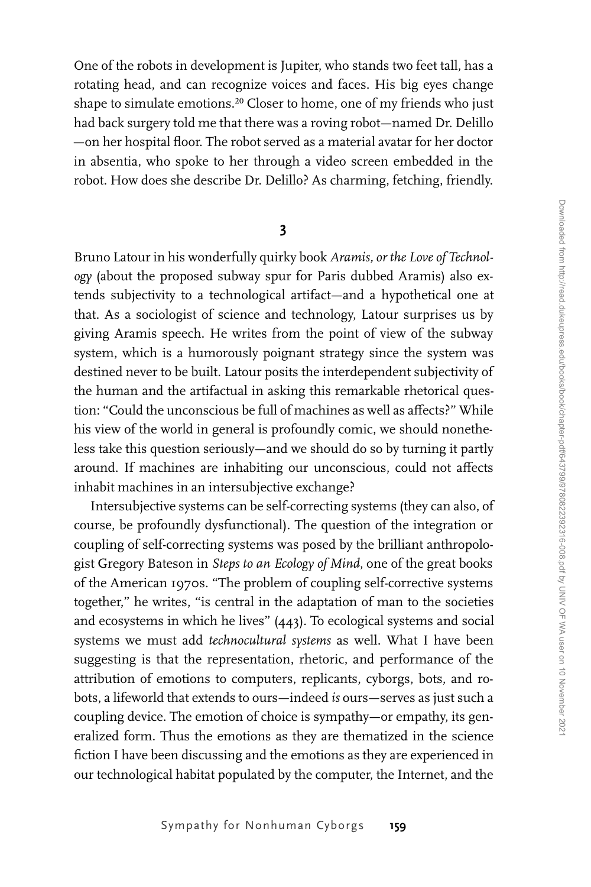One of the robots in development is Jupiter, who stands two feet tall, has a rotating head, and can recognize voices and faces. His big eyes change shape to simulate emotions.<sup>20</sup> Closer to home, one of my friends who just had back surgery told me that there was a roving robot—named Dr. Delillo —on her hospital floor. The robot served as a material avatar for her doctor in absentia, who spoke to her through a video screen embedded in the robot. How does she describe Dr. Delillo? As charming, fetching, friendly.

**3**

Bruno Latour in his wonderfully quirky book *Aramis, or the Love of Technology* (about the proposed subway spur for Paris dubbed Aramis) also extends subjectivity to a technological artifact—and a hypothetical one at that. As a sociologist of science and technology, Latour surprises us by giving Aramis speech. He writes from the point of view of the subway system, which is a humorously poignant strategy since the system was destined never to be built. Latour posits the interdependent subjectivity of the human and the artifactual in asking this remarkable rhetorical question: "Could the unconscious be full of machines as well as affects?" While his view of the world in general is profoundly comic, we should nonetheless take this question seriously—and we should do so by turning it partly around. If machines are inhabiting our unconscious, could not affects inhabit machines in an intersubjective exchange?

Intersubjective systems can be self-correcting systems (they can also, of course, be profoundly dysfunctional). The question of the integration or coupling of self-correcting systems was posed by the brilliant anthropologist Gregory Bateson in *Steps to an Ecology of Mind*, one of the great books of the American 1970s. ''The problem of coupling self-corrective systems together,'' he writes, ''is central in the adaptation of man to the societies and ecosystems in which he lives'' (443). To ecological systems and social systems we must add *technocultural systems* as well. What I have been suggesting is that the representation, rhetoric, and performance of the attribution of emotions to computers, replicants, cyborgs, bots, and robots, a lifeworld that extends to ours—indeed *is* ours—serves as just such a coupling device. The emotion of choice is sympathy—or empathy, its generalized form. Thus the emotions as they are thematized in the science fiction I have been discussing and the emotions as they are experienced in our technological habitat populated by the computer, the Internet, and the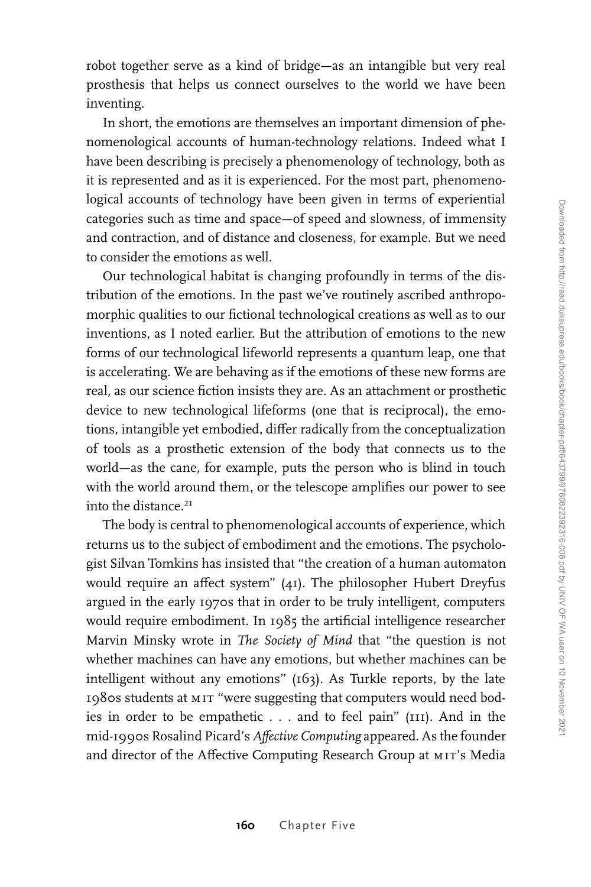robot together serve as a kind of bridge—as an intangible but very real prosthesis that helps us connect ourselves to the world we have been inventing.

In short, the emotions are themselves an important dimension of phenomenological accounts of human-technology relations. Indeed what I have been describing is precisely a phenomenology of technology, both as it is represented and as it is experienced. For the most part, phenomenological accounts of technology have been given in terms of experiential categories such as time and space—of speed and slowness, of immensity and contraction, and of distance and closeness, for example. But we need to consider the emotions as well.

Our technological habitat is changing profoundly in terms of the distribution of the emotions. In the past we've routinely ascribed anthropomorphic qualities to our fictional technological creations as well as to our inventions, as I noted earlier. But the attribution of emotions to the new forms of our technological lifeworld represents a quantum leap, one that is accelerating. We are behaving as if the emotions of these new forms are real, as our science fiction insists they are. As an attachment or prosthetic device to new technological lifeforms (one that is reciprocal), the emotions, intangible yet embodied, differ radically from the conceptualization of tools as a prosthetic extension of the body that connects us to the world—as the cane, for example, puts the person who is blind in touch with the world around them, or the telescope amplifies our power to see into the distance $21$ 

The body is central to phenomenological accounts of experience, which returns us to the subject of embodiment and the emotions. The psychologist Silvan Tomkins has insisted that ''the creation of a human automaton would require an affect system" (41). The philosopher Hubert Dreyfus argued in the early 1970s that in order to be truly intelligent, computers would require embodiment. In 1985 the artificial intelligence researcher Marvin Minsky wrote in *The Society of Mind* that ''the question is not whether machines can have any emotions, but whether machines can be intelligent without any emotions'' (163). As Turkle reports, by the late 1980s students at MIT "were suggesting that computers would need bodies in order to be empathetic . . . and to feel pain'' (111). And in the mid-1990s Rosalind Picard's *A√ective Computing* appeared. As the founder and director of the Affective Computing Research Group at MIT's Media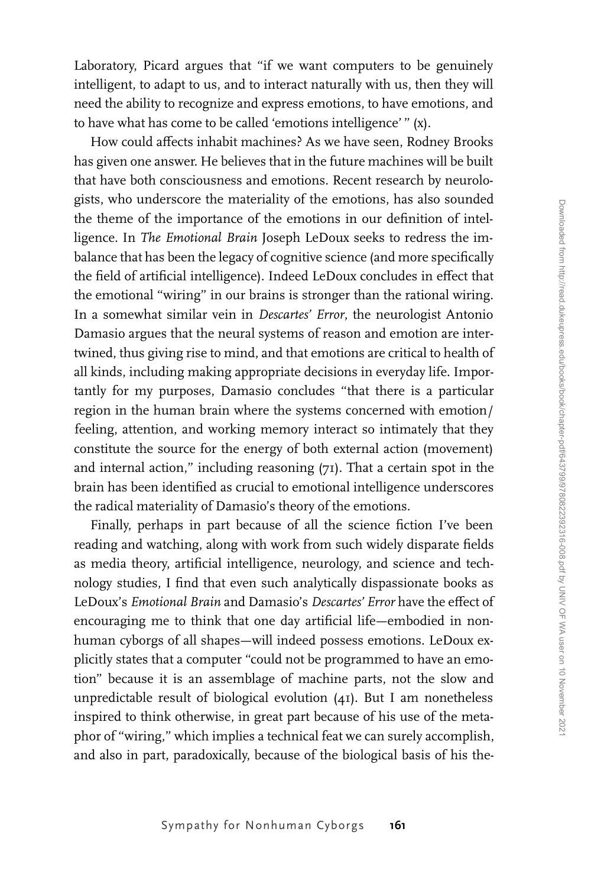Laboratory, Picard argues that ''if we want computers to be genuinely intelligent, to adapt to us, and to interact naturally with us, then they will need the ability to recognize and express emotions, to have emotions, and to have what has come to be called 'emotions intelligence' '' (x).

How could affects inhabit machines? As we have seen, Rodney Brooks has given one answer. He believes that in the future machines will be built that have both consciousness and emotions. Recent research by neurologists, who underscore the materiality of the emotions, has also sounded the theme of the importance of the emotions in our definition of intelligence. In *The Emotional Brain* Joseph LeDoux seeks to redress the imbalance that has been the legacy of cognitive science (and more specifically the field of artificial intelligence). Indeed LeDoux concludes in effect that the emotional ''wiring'' in our brains is stronger than the rational wiring. In a somewhat similar vein in *Descartes' Error*, the neurologist Antonio Damasio argues that the neural systems of reason and emotion are intertwined, thus giving rise to mind, and that emotions are critical to health of all kinds, including making appropriate decisions in everyday life. Importantly for my purposes, Damasio concludes ''that there is a particular region in the human brain where the systems concerned with emotion/ feeling, attention, and working memory interact so intimately that they constitute the source for the energy of both external action (movement) and internal action," including reasoning (71). That a certain spot in the brain has been identified as crucial to emotional intelligence underscores the radical materiality of Damasio's theory of the emotions.

Finally, perhaps in part because of all the science fiction I've been reading and watching, along with work from such widely disparate fields as media theory, artificial intelligence, neurology, and science and technology studies, I find that even such analytically dispassionate books as LeDoux's *Emotional Brain* and Damasio's *Descartes' Error* have the effect of encouraging me to think that one day artificial life—embodied in nonhuman cyborgs of all shapes—will indeed possess emotions. LeDoux explicitly states that a computer ''could not be programmed to have an emotion'' because it is an assemblage of machine parts, not the slow and unpredictable result of biological evolution (41). But I am nonetheless inspired to think otherwise, in great part because of his use of the metaphor of ''wiring,'' which implies a technical feat we can surely accomplish, and also in part, paradoxically, because of the biological basis of his the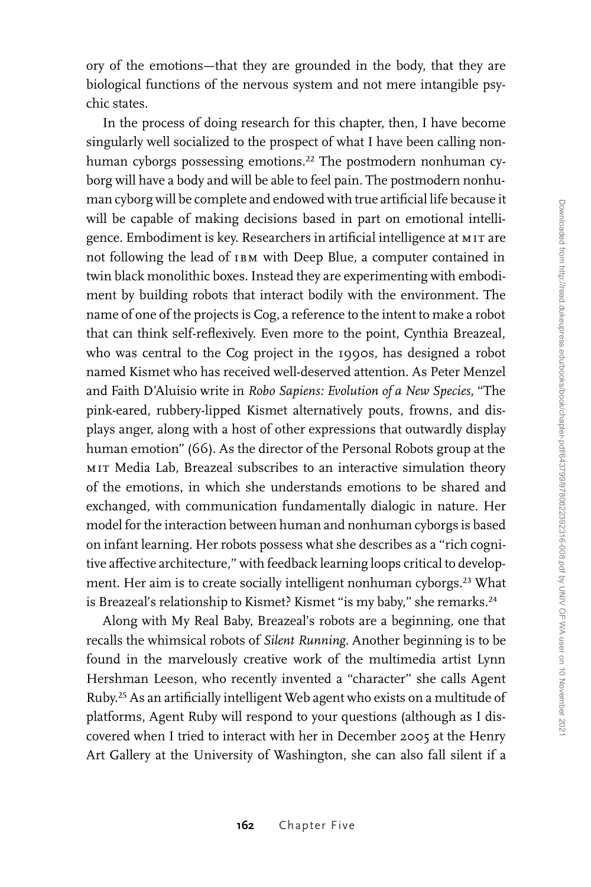ory of the emotions—that they are grounded in the body, that they are biological functions of the nervous system and not mere intangible psychic states.

In the process of doing research for this chapter, then, I have become singularly well socialized to the prospect of what I have been calling nonhuman cyborgs possessing emotions.<sup>22</sup> The postmodern nonhuman cyborg will have a body and will be able to feel pain. The postmodern nonhuman cyborg will be complete and endowed with true artificial life because it will be capable of making decisions based in part on emotional intelligence. Embodiment is key. Researchers in artificial intelligence at mit are not following the lead of IBM with Deep Blue, a computer contained in twin black monolithic boxes. Instead they are experimenting with embodiment by building robots that interact bodily with the environment. The name of one of the projects is Cog, a reference to the intent to make a robot that can think self-reflexively. Even more to the point, Cynthia Breazeal, who was central to the Cog project in the 1990s, has designed a robot named Kismet who has received well-deserved attention. As Peter Menzel and Faith D'Aluisio write in *Robo Sapiens: Evolution of a New Species*, ''The pink-eared, rubbery-lipped Kismet alternatively pouts, frowns, and displays anger, along with a host of other expressions that outwardly display human emotion'' (66). As the director of the Personal Robots group at the mit Media Lab, Breazeal subscribes to an interactive simulation theory of the emotions, in which she understands emotions to be shared and exchanged, with communication fundamentally dialogic in nature. Her model for the interaction between human and nonhuman cyborgs is based on infant learning. Her robots possess what she describes as a "rich cognitive affective architecture," with feedback learning loops critical to development. Her aim is to create socially intelligent nonhuman cyborgs.<sup>23</sup> What is Breazeal's relationship to Kismet? Kismet "is my baby," she remarks.<sup>24</sup>

Along with My Real Baby, Breazeal's robots are a beginning, one that recalls the whimsical robots of *Silent Running.* Another beginning is to be found in the marvelously creative work of the multimedia artist Lynn Hershman Leeson, who recently invented a "character" she calls Agent Ruby.<sup>25</sup> As an artificially intelligent Web agent who exists on a multitude of platforms, Agent Ruby will respond to your questions (although as I discovered when I tried to interact with her in December 2005 at the Henry Art Gallery at the University of Washington, she can also fall silent if a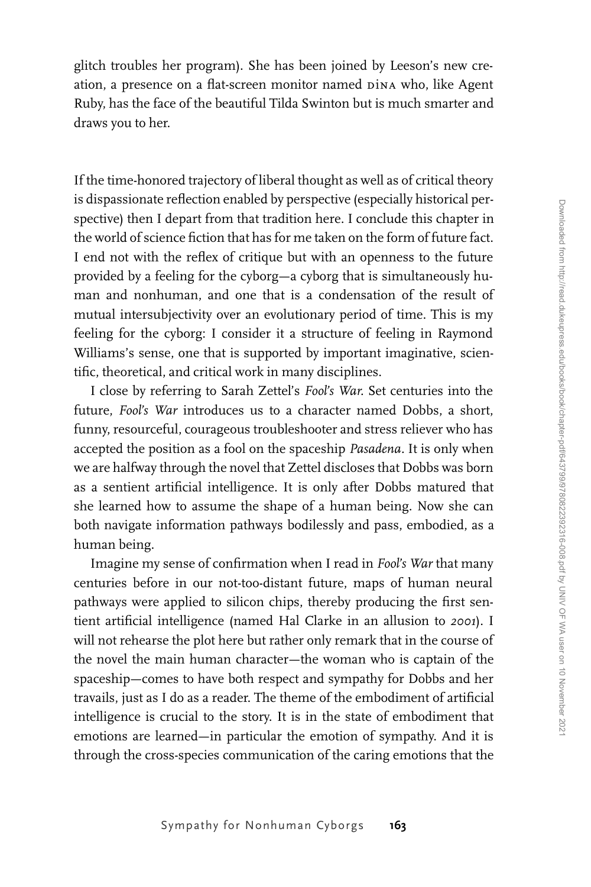glitch troubles her program). She has been joined by Leeson's new creation, a presence on a flat-screen monitor named pina who, like Agent Ruby, has the face of the beautiful Tilda Swinton but is much smarter and draws you to her.

If the time-honored trajectory of liberal thought as well as of critical theory is dispassionate reflection enabled by perspective (especially historical perspective) then I depart from that tradition here. I conclude this chapter in the world of science fiction that has for me taken on the form of future fact. I end not with the reflex of critique but with an openness to the future provided by a feeling for the cyborg—a cyborg that is simultaneously human and nonhuman, and one that is a condensation of the result of mutual intersubjectivity over an evolutionary period of time. This is my feeling for the cyborg: I consider it a structure of feeling in Raymond Williams's sense, one that is supported by important imaginative, scientific, theoretical, and critical work in many disciplines.

I close by referring to Sarah Zettel's *Fool's War.* Set centuries into the future, *Fool's War* introduces us to a character named Dobbs, a short, funny, resourceful, courageous troubleshooter and stress reliever who has accepted the position as a fool on the spaceship *Pasadena.* It is only when we are halfway through the novel that Zettel discloses that Dobbs was born as a sentient artificial intelligence. It is only after Dobbs matured that she learned how to assume the shape of a human being. Now she can both navigate information pathways bodilessly and pass, embodied, as a human being.

Imagine my sense of confirmation when I read in *Fool's War* that many centuries before in our not-too-distant future, maps of human neural pathways were applied to silicon chips, thereby producing the first sentient artificial intelligence (named Hal Clarke in an allusion to *2001*). I will not rehearse the plot here but rather only remark that in the course of the novel the main human character—the woman who is captain of the spaceship—comes to have both respect and sympathy for Dobbs and her travails, just as I do as a reader. The theme of the embodiment of artificial intelligence is crucial to the story. It is in the state of embodiment that emotions are learned—in particular the emotion of sympathy. And it is through the cross-species communication of the caring emotions that the